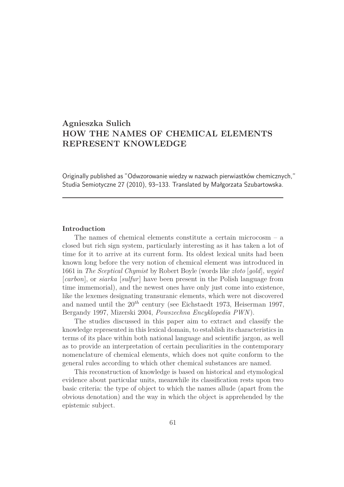# **Agnieszka Sulich HOW THE NAMES OF CHEMICAL ELEMENTS REPRESENT KNOWLEDGE**

Originally published as "Odwzorowanie wiedzy w nazwach pierwiastków chemicznych," Studia Semiotyczne 27 (2010), 93–133. Translated by Małgorzata Szubartowska.

#### **Introduction**

The names of chemical elements constitute a certain microcosm – a closed but rich sign system, particularly interesting as it has taken a lot of time for it to arrive at its current form. Its oldest lexical units had been known long before the very notion of chemical element was introduced in 1661 in *The Sceptical Chymist* by Robert Boyle (words like *złoto* [*gold*], *węgiel* [*carbon*], or *siarka* [*sulfur*] have been present in the Polish language from time immemorial), and the newest ones have only just come into existence, like the lexemes designating transuranic elements, which were not discovered and named until the 20*th* century (see Eichstaedt 1973, Heiserman 1997, Bergandy 1997, Mizerski 2004, *Powszechna Encyklopedia PWN*).

The studies discussed in this paper aim to extract and classify the knowledge represented in this lexical domain, to establish its characteristics in terms of its place within both national language and scientific jargon, as well as to provide an interpretation of certain peculiarities in the contemporary nomenclature of chemical elements, which does not quite conform to the general rules according to which other chemical substances are named.

This reconstruction of knowledge is based on historical and etymological evidence about particular units, meanwhile its classification rests upon two basic criteria: the type of object to which the names allude (apart from the obvious denotation) and the way in which the object is apprehended by the epistemic subject.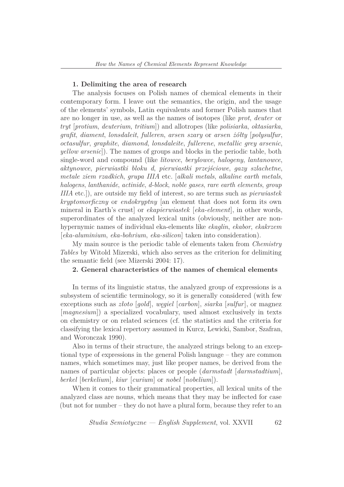#### **1. Delimiting the area of research**

The analysis focuses on Polish names of chemical elements in their contemporary form. I leave out the semantics, the origin, and the usage of the elements' symbols, Latin equivalents and former Polish names that are no longer in use, as well as the names of isotopes (like *prot*, *deuter* or *tryt* [*protium*, *deuterium*, *tritium*]) and allotropes (like *polisiarka*, *oktasiarka*, *grafit*, *diament*, *lonsdaleit*, *fulleren*, *arsen szary* or *arsen żółty* [*polysulfur*, *octasulfur*, *graphite*, *diamond*, *lonsdaleite*, *fullerene*, *metallic grey arsenic*, *yellow arsenic*]). The names of groups and blocks in the periodic table, both single-word and compound (like *litowce*, *berylowce*, *halogeny*, *lantanowce*, *aktynowce*, *pierwiastki bloku d*, *pierwiastki przejściowe*, *gazy szlachetne*, *metale ziem rzadkich*, *grupa IIIA* etc. [*alkali metals*, *alkaline earth metals*, *halogens*, *lanthanide*, *actinide*, *d-block*, *noble gases*, *rare earth elements*, *group IIIA* etc.]), are outside my field of interest, so are terms such as *pierwiastek kryptomorficzny* or *endokryptny* [an element that does not form its own mineral in Earth's crust] or *ekapierwiastek* [*eka-element*], in other words, superordinates of the analyzed lexical units (obviously, neither are nonhypernymic names of individual eka-elements like *ekaglin*, *ekabor*, *ekakrzem* [*eka-aluminium*, *eka-bohrium*, *eka-silicon*] taken into consideration).

My main source is the periodic table of elements taken from *Chemistry Tables* by Witold Mizerski, which also serves as the criterion for delimiting the semantic field (see Mizerski 2004: 17).

# **2. General characteristics of the names of chemical elements**

In terms of its linguistic status, the analyzed group of expressions is a subsystem of scientific terminology, so it is generally considered (with few exceptions such as *złoto* [*gold*], *węgiel* [*carbon*], *siarka* [*sulfur*], or magnez [*magnesium*]) a specialized vocabulary, used almost exclusively in texts on chemistry or on related sciences (cf. the statistics and the criteria for classifying the lexical repertory assumed in Kurcz, Lewicki, Sambor, Szafran, and Woronczak 1990).

Also in terms of their structure, the analyzed strings belong to an exceptional type of expressions in the general Polish language – they are common names, which sometimes may, just like proper names, be derived from the names of particular objects: places or people (*darmstadt* [*darmstadtium*], *berkel* [*berkelium*], *kiur* [*curium*] or *nobel* [*nobelium*]).

When it comes to their grammatical properties, all lexical units of the analyzed class are nouns, which means that they may be inflected for case (but not for number – they do not have a plural form, because they refer to an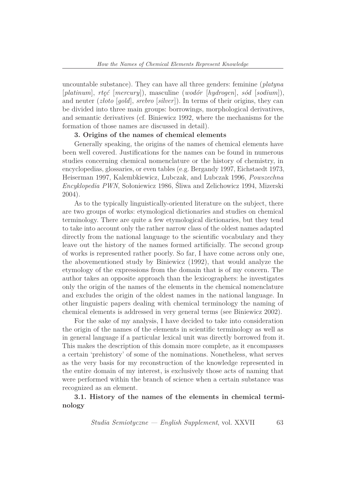uncountable substance). They can have all three genders: feminine (*platyna* [*platinum*], *rtęć* [*mercury*]), masculine (*wodór* [*hydrogen*], *sód* [*sodium*]), and neuter (*złoto* [*gold*], *srebro* [*silver*]). In terms of their origins, they can be divided into three main groups: borrowings, morphological derivatives, and semantic derivatives (cf. Biniewicz 1992, where the mechanisms for the formation of those names are discussed in detail).

### **3. Origins of the names of chemical elements**

Generally speaking, the origins of the names of chemical elements have been well covered. Justifications for the names can be found in numerous studies concerning chemical nomenclature or the history of chemistry, in encyclopedias, glossaries, or even tables (e.g. Bergandy 1997, Eichstaedt 1973, Heiserman 1997, Kalembkiewicz, Lubczak, and Lubczak 1996, *Powszechna Encyklopedia PWN*, Sołoniewicz 1986, Śliwa and Zelichowicz 1994, Mizerski 2004).

As to the typically linguistically-oriented literature on the subject, there are two groups of works: etymological dictionaries and studies on chemical terminology. There are quite a few etymological dictionaries, but they tend to take into account only the rather narrow class of the oldest names adapted directly from the national language to the scientific vocabulary and they leave out the history of the names formed artificially. The second group of works is represented rather poorly. So far, I have come across only one, the abovementioned study by Biniewicz (1992), that would analyze the etymology of the expressions from the domain that is of my concern. The author takes an opposite approach than the lexicographers: he investigates only the origin of the names of the elements in the chemical nomenclature and excludes the origin of the oldest names in the national language. In other linguistic papers dealing with chemical terminology the naming of chemical elements is addressed in very general terms (see Biniewicz 2002).

For the sake of my analysis, I have decided to take into consideration the origin of the names of the elements in scientific terminology as well as in general language if a particular lexical unit was directly borrowed from it. This makes the description of this domain more complete, as it encompasses a certain 'prehistory' of some of the nominations. Nonetheless, what serves as the very basis for my reconstruction of the knowledge represented in the entire domain of my interest, is exclusively those acts of naming that were performed within the branch of science when a certain substance was recognized as an element.

# **3.1. History of the names of the elements in chemical terminology**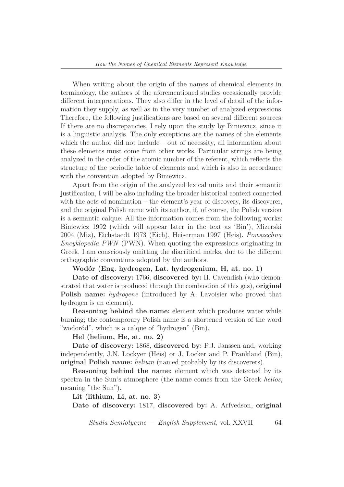When writing about the origin of the names of chemical elements in terminology, the authors of the aforementioned studies occasionally provide different interpretations. They also differ in the level of detail of the information they supply, as well as in the very number of analyzed expressions. Therefore, the following justifications are based on several different sources. If there are no discrepancies, I rely upon the study by Biniewicz, since it is a linguistic analysis. The only exceptions are the names of the elements which the author did not include – out of necessity, all information about these elements must come from other works. Particular strings are being analyzed in the order of the atomic number of the referent, which reflects the structure of the periodic table of elements and which is also in accordance with the convention adopted by Biniewicz.

Apart from the origin of the analyzed lexical units and their semantic justification, I will be also including the broader historical context connected with the acts of nomination – the element's year of discovery, its discoverer, and the original Polish name with its author, if, of course, the Polish version is a semantic calque. All the information comes from the following works: Biniewicz 1992 (which will appear later in the text as 'Bin'), Mizerski 2004 (Miz), Eichstaedt 1973 (Eich), Heiserman 1997 (Heis), *Powszechna Encyklopedia PWN* (PWN). When quoting the expressions originating in Greek, I am consciously omitting the diacritical marks, due to the different orthographic conventions adopted by the authors.

**Wodór (Eng. hydrogen, Lat. hydrogenium, H, at. no. 1)**

**Date of discovery:** 1766, **discovered by:** H. Cavendish (who demonstrated that water is produced through the combustion of this gas), **original Polish name:** *hydrogene* (introduced by A. Lavoisier who proved that hydrogen is an element).

**Reasoning behind the name:** element which produces water while burning; the contemporary Polish name is a shortened version of the word "wodoród", which is a calque of "hydrogen" (Bin).

#### **Hel (helium, He, at. no. 2)**

**Date of discovery:** 1868, **discovered by:** P.J. Janssen and, working independently, J.N. Lockyer (Heis) or J. Locker and P. Frankland (Bin), **original Polish name:** *helium* (named probably by its discoverers).

**Reasoning behind the name:** element which was detected by its spectra in the Sun's atmosphere (the name comes from the Greek *helios*, meaning "the Sun").

**Lit (lithium, Li, at. no. 3)**

**Date of discovery:** 1817, **discovered by:** A. Arfvedson, **original**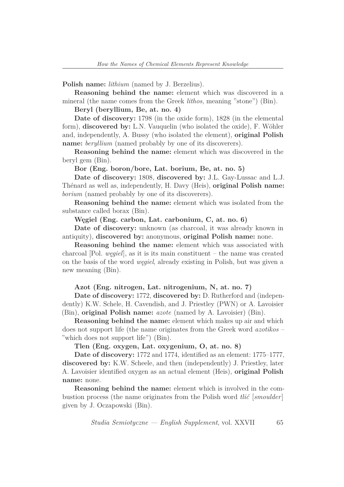**Polish name:** *lithium* (named by J. Berzelius).

**Reasoning behind the name:** element which was discovered in a mineral (the name comes from the Greek *lithos*, meaning "stone") (Bin).

**Beryl (beryllium, Be, at. no. 4)**

**Date of discovery:** 1798 (in the oxide form), 1828 (in the elemental form), **discovered by:** L.N. Vauquelin (who isolated the oxide), F. Wöhler and, independently, A. Bussy (who isolated the element), **original Polish name:** *beryllium* (named probably by one of its discoverers).

**Reasoning behind the name:** element which was discovered in the beryl gem (Bin).

**Bor (Eng. boron/bore, Lat. borium, Be, at. no. 5)**

**Date of discovery:** 1808, **discovered by:** J.L. Gay-Lussac and L.J. Thénard as well as, independently, H. Davy (Heis), **original Polish name:** *borium* (named probably by one of its discoverers).

**Reasoning behind the name:** element which was isolated from the substance called borax (Bin).

**Węgiel (Eng. carbon, Lat. carbonium, C, at. no. 6)**

**Date of discovery:** unknown (as charcoal, it was already known in antiquity), **discovered by:** anonymous, **original Polish name:** none.

**Reasoning behind the name:** element which was associated with charcoal [Pol. *węgiel*], as it is its main constituent – the name was created on the basis of the word *węgiel*, already existing in Polish, but was given a new meaning (Bin).

## **Azot (Eng. nitrogen, Lat. nitrogenium, N, at. no. 7)**

**Date of discovery:** 1772, **discovered by:** D. Rutherford and (independently) K.W. Schele, H. Cavendish, and J. Priestley (PWN) or A. Lavoisier (Bin), **original Polish name:** *azote* (named by A. Lavoisier) (Bin).

**Reasoning behind the name:** element which makes up air and which does not support life (the name originates from the Greek word *azotikos* – "which does not support life") (Bin).

## **Tlen (Eng. oxygen, Lat. oxygenium, O, at. no. 8)**

**Date of discovery:** 1772 and 1774, identified as an element: 1775–1777, **discovered by:** K.W. Scheele, and then (independently) J. Priestley, later A. Lavoisier identified oxygen as an actual element (Heis), **original Polish name:** none.

**Reasoning behind the name:** element which is involved in the combustion process (the name originates from the Polish word *tlić* [*smoulder*] given by J. Oczapowski (Bin).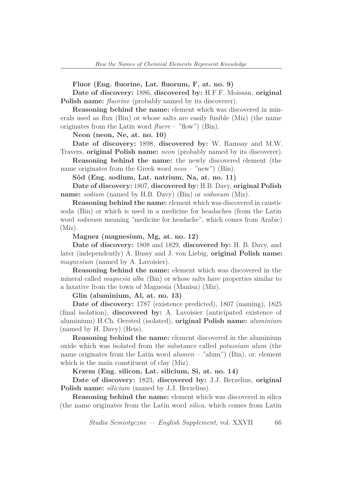**Fluor (Eng. fluorine, Lat. fluorum, F, at. no. 9)**

**Date of discovery:** 1886, **discovered by:** H.F.F. Moissan, **original Polish name:** *fluorine* (probably named by its discoverer).

**Reasoning behind the name:** element which was discovered in minerals used as flux (Bin) or whose salts are easily fusible (Miz) (the name originates from the Latin word *fluere* – "flow") (Bin).

**Neon (neon, Ne, at. no. 10)**

**Date of discovery:** 1898, **discovered by:** W. Ramsay and M.W. Travers, **original Polish name:** *neon* (probably named by its discoverer).

**Reasoning behind the name:** the newly discovered element (the name originates from the Greek word *neos* – "new") (Bin).

**Sód (Eng. sodium, Lat. natrium, Na, at. no. 11)**

**Date of discovery:** 1807, **discovered by:** H.B. Davy, **original Polish name:** *sodium* (named by H.B. Davy) (Bin) or *sodanum* (Miz).

**Reasoning behind the name:** element which was discovered in caustic soda (Bin) or which is used in a medicine for headaches (from the Latin word *sodanum* meaning "medicine for headache", which comes from Arabic) (Miz).

**Magnez (magnesium, Mg, at. no. 12)**

**Date of discovery:** 1808 and 1829, **discovered by:** H. B. Davy, and later (independently) A. Bussy and J. von Liebig, **original Polish name:** *magnesium* (named by A. Lavoisier).

**Reasoning behind the name:** element which was discovered in the mineral called *magnesia alba* (Bin) or whose salts have properties similar to a laxative from the town of Magnesia (Manisa) (Miz).

**Glin (aluminium, Al, at. no. 13)**

**Date of discovery:** 1787 (existence predicted), 1807 (naming), 1825 (final isolation), **discovered by:** A. Lavoisier (anticipated existence of aluminium) H.Ch. Oersted (isolated), **original Polish name:** *aluminium* (named by H. Davy) (Heis).

**Reasoning behind the name:** element discovered in the aluminium oxide which was isolated from the substance called *potassium alum* (the name originates from the Latin word *alumen* – "alum") (Bin), or: element which is the main constituent of clay (Miz).

**Krzem (Eng. silicon, Lat. silicium, Si, at. no. 14)**

**Date of discovery:** 1823, **discovered by:** J.J. Berzelius, **original Polish name:** *silicium* (named by J.J. Berzelius).

**Reasoning behind the name:** element which was discovered in silica (the name originates from the Latin word *silica*, which comes from Latin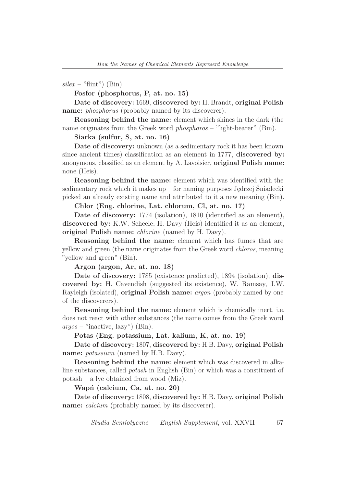$\textit{silex}$  – "flint") (Bin).

**Fosfor (phosphorus, P, at. no. 15)**

**Date of discovery:** 1669, **discovered by:** H. Brandt, **original Polish name:** *phosphorus* (probably named by its discoverer).

**Reasoning behind the name:** element which shines in the dark (the name originates from the Greek word *phosphoros* – "light-bearer" (Bin).

**Siarka (sulfur, S, at. no. 16)**

**Date of discovery:** unknown (as a sedimentary rock it has been known since ancient times) classification as an element in 1777, **discovered by:** anonymous, classified as an element by A. Lavoisier, **original Polish name:** none (Heis).

**Reasoning behind the name:** element which was identified with the sedimentary rock which it makes up – for naming purposes Jędrzej Śniadecki picked an already existing name and attributed to it a new meaning (Bin).

## **Chlor (Eng. chlorine, Lat. chlorum, Cl, at. no. 17)**

**Date of discovery:** 1774 (isolation), 1810 (identified as an element), **discovered by:** K.W. Scheele; H. Davy (Heis) identified it as an element, **original Polish name:** *chlorine* (named by H. Davy).

**Reasoning behind the name:** element which has fumes that are yellow and green (the name originates from the Greek word *chloros*, meaning "yellow and green" (Bin).

**Argon (argon, Ar, at. no. 18)**

**Date of discovery:** 1785 (existence predicted), 1894 (isolation), **discovered by:** H. Cavendish (suggested its existence), W. Ramsay, J.W. Rayleigh (isolated), **original Polish name:** *argon* (probably named by one of the discoverers).

**Reasoning behind the name:** element which is chemically inert, i.e. does not react with other substances (the name comes from the Greek word *argos* – "inactive, lazy") (Bin).

**Potas (Eng. potassium, Lat. kalium, K, at. no. 19)**

**Date of discovery:** 1807, **discovered by:** H.B. Davy, **original Polish name:** *potassium* (named by H.B. Davy).

**Reasoning behind the name:** element which was discovered in alkaline substances, called *potash* in English (Bin) or which was a constituent of potash – a lye obtained from wood (Miz).

**Wapń (calcium, Ca, at. no. 20)**

**Date of discovery:** 1808, **discovered by:** H.B. Davy, **original Polish name:** *calcium* (probably named by its discoverer).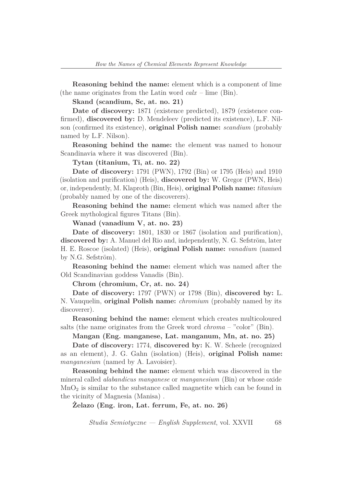**Reasoning behind the name:** element which is a component of lime (the name originates from the Latin word *calx* – lime (Bin).

**Skand (scandium, Sc, at. no. 21)**

**Date of discovery:** 1871 (existence predicted), 1879 (existence confirmed), **discovered by:** D. Mendeleev (predicted its existence), L.F. Nilson (confirmed its existence), **original Polish name:** *scandium* (probably named by L.F. Nilson).

**Reasoning behind the name:** the element was named to honour Scandinavia where it was discovered (Bin).

**Tytan (titanium, Ti, at. no. 22)**

**Date of discovery:** 1791 (PWN), 1792 (Bin) or 1795 (Heis) and 1910 (isolation and purification) (Heis), **discovered by:** W. Gregor (PWN, Heis) or, independently, M. Klaproth (Bin, Heis), **original Polish name:** *titanium* (probably named by one of the discoverers).

**Reasoning behind the name:** element which was named after the Greek mythological figures Titans (Bin).

**Wanad (vanadium V, at. no. 23)**

**Date of discovery:** 1801, 1830 or 1867 (isolation and purification), **discovered by:** A. Manuel del Rio and, independently, N. G. Sefström, later H. E. Roscoe (isolated) (Heis), **original Polish name:** *vanadium* (named by N.G. Sefström).

**Reasoning behind the name:** element which was named after the Old Scandinavian goddess Vanadis (Bin).

**Chrom (chromium, Cr, at. no. 24)**

**Date of discovery:** 1797 (PWN) or 1798 (Bin), **discovered by:** L. N. Vauquelin, **original Polish name:** *chromium* (probably named by its discoverer).

**Reasoning behind the name:** element which creates multicoloured salts (the name originates from the Greek word *chroma* – "color" (Bin).

**Mangan (Eng. manganese, Lat. manganum, Mn, at. no. 25)**

**Date of discovery:** 1774, **discovered by:** K. W. Scheele (recognized as an element), J. G. Gahn (isolation) (Heis), **original Polish name:** *manganesium* (named by A. Lavoisier).

**Reasoning behind the name:** element which was discovered in the mineral called *alabandicus manganese* or *manganesium* (Bin) or whose oxide  $MnO<sub>2</sub>$  is similar to the substance called magnetite which can be found in the vicinity of Magnesia (Manisa) .

**Żelazo (Eng. iron, Lat. ferrum, Fe, at. no. 26)**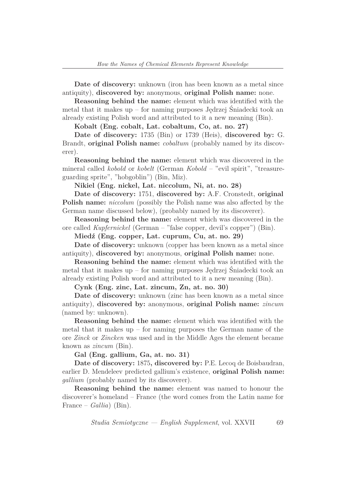**Date of discovery:** unknown (iron has been known as a metal since antiquity), **discovered by:** anonymous, **original Polish name:** none.

**Reasoning behind the name:** element which was identified with the metal that it makes up – for naming purposes Jędrzej Śniadecki took an already existing Polish word and attributed to it a new meaning (Bin).

**Kobalt (Eng. cobalt, Lat. cobaltum, Co, at. no. 27)**

**Date of discovery:** 1735 (Bin) or 1739 (Heis), **discovered by:** G. Brandt, **original Polish name:** *cobaltum* (probably named by its discoverer).

**Reasoning behind the name:** element which was discovered in the mineral called *kobold* or *kobelt* (German *Kobold* – "evil spirit", "treasureguarding sprite", "hobgoblin") (Bin, Miz).

**Nikiel (Eng. nickel, Lat. niccolum, Ni, at. no. 28)**

**Date of discovery:** 1751, **discovered by:** A.F. Cronstedt, **original Polish name:** *niccolum* (possibly the Polish name was also affected by the German name discussed below), (probably named by its discoverer).

**Reasoning behind the name:** element which was discovered in the ore called *Kupfernickel* (German – "false copper, devil's copper") (Bin).

**Miedź (Eng. copper, Lat. cuprum, Cu, at. no. 29)**

**Date of discovery:** unknown (copper has been known as a metal since antiquity), **discovered by:** anonymous, **original Polish name:** none.

**Reasoning behind the name:** element which was identified with the metal that it makes up – for naming purposes Jędrzej Śniadecki took an already existing Polish word and attributed to it a new meaning (Bin).

**Cynk (Eng. zinc, Lat. zincum, Zn, at. no. 30)**

**Date of discovery:** unknown (zinc has been known as a metal since antiquity), **discovered by:** anonymous, **original Polish name:** *zincum* (named by: unknown).

**Reasoning behind the name:** element which was identified with the metal that it makes up  $-$  for naming purposes the German name of the ore *Zinck* or *Zincken* was used and in the Middle Ages the element became known as *zincum* (Bin).

**Gal (Eng. gallium, Ga, at. no. 31)**

**Date of discovery:** 1875**, discovered by:** P.E. Lecoq de Boisbaudran, earlier D. Mendeleev predicted gallium's existence, **original Polish name:** *gallium* (probably named by its discoverer).

**Reasoning behind the name:** element was named to honour the discoverer's homeland – France (the word comes from the Latin name for France – *Gallia*) (Bin).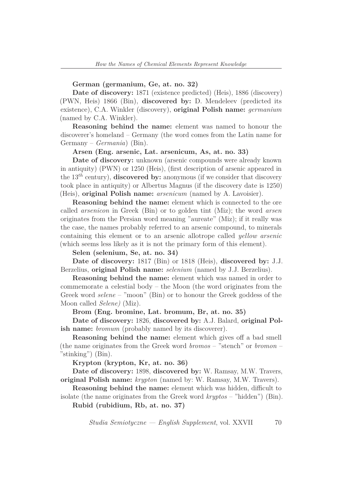#### **German (germanium, Ge, at. no. 32)**

**Date of discovery:** 1871 (existence predicted) (Heis), 1886 (discovery) (PWN, Heis) 1866 (Bin), **discovered by:** D. Mendeleev (predicted its existence), C.A. Winkler (discovery), **original Polish name:** *germanium* (named by C.A. Winkler).

**Reasoning behind the name:** element was named to honour the discoverer's homeland – Germany (the word comes from the Latin name for Germany – *Germania*) (Bin).

### **Arsen (Eng. arsenic, Lat. arsenicum, As, at. no. 33)**

**Date of discovery:** unknown (arsenic compounds were already known in antiquity) (PWN) or 1250 (Heis), (first description of arsenic appeared in the 13*th* century), **discovered by:** anonymous (if we consider that discovery took place in antiquity) or Albertus Magnus (if the discovery date is 1250) (Heis), **original Polish name:** *arsenicum* (named by A. Lavoisier).

**Reasoning behind the name:** element which is connected to the ore called *arsenicon* in Greek (Bin) or to golden tint (Miz); the word *arsen* originates from the Persian word meaning "aureate" (Miz); if it really was the case, the names probably referred to an arsenic compound, to minerals containing this element or to an arsenic allotrope called *yellow arsenic* (which seems less likely as it is not the primary form of this element).

**Selen (selenium, Se, at. no. 34)**

**Date of discovery:** 1817 (Bin) or 1818 (Heis), **discovered by:** J.J. Berzelius, **original Polish name:** *selenium* (named by J.J. Berzelius).

**Reasoning behind the name:** element which was named in order to commemorate a celestial body – the Moon (the word originates from the Greek word *selene* – "moon" (Bin) or to honour the Greek goddess of the Moon called *Selene)* (Miz).

#### **Brom (Eng. bromine, Lat. bromum, Br, at. no. 35)**

**Date of discovery:** 1826, **discovered by:** A.J. Balard, **original Polish name:** *bromum* (probably named by its discoverer).

**Reasoning behind the name:** element which gives off a bad smell (the name originates from the Greek word *bromos* – "stench" or *bromon* – "stinking") (Bin).

**Krypton (krypton, Kr, at. no. 36)**

**Date of discovery:** 1898, **discovered by:** W. Ramsay, M.W. Travers, **original Polish name:** *krypton* (named by: W. Ramsay, M.W. Travers).

**Reasoning behind the name:** element which was hidden, difficult to isolate (the name originates from the Greek word *kryptos* – "hidden") (Bin).

**Rubid (rubidium, Rb, at. no. 37)**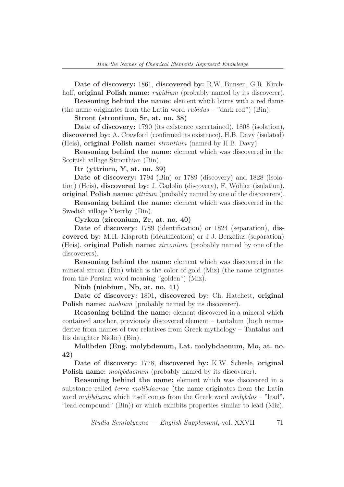**Date of discovery:** 1861, **discovered by:** R.W. Bunsen, G.R. Kirchhoff, **original Polish name:** *rubidium* (probably named by its discoverer).

**Reasoning behind the name:** element which burns with a red flame (the name originates from the Latin word *rubidus* – "dark red") (Bin).

**Stront (strontium, Sr, at. no. 38)**

**Date of discovery:** 1790 (its existence ascertained), 1808 (isolation), **discovered by:** A. Crawford (confirmed its existence), H.B. Davy (isolated) (Heis), **original Polish name:** *strontium* (named by H.B. Davy).

**Reasoning behind the name:** element which was discovered in the Scottish village Stronthian (Bin).

**Itr (yttrium, Y, at. no. 39)**

**Date of discovery:** 1794 (Bin) or 1789 (discovery) and 1828 (isolation) (Heis), **discovered by:** J. Gadolin (discovery), F. Wöhler (isolation), **original Polish name:** *yttrium* (probably named by one of the discoverers).

**Reasoning behind the name:** element which was discovered in the Swedish village Yterrby (Bin).

**Cyrkon (zirconium, Zr, at. no. 40)**

**Date of discovery:** 1789 (identification) or 1824 (separation), **discovered by:** M.H. Klaproth (identification) or J.J. Berzelius (separation) (Heis), **original Polish name:** *zirconium* (probably named by one of the discoverers).

**Reasoning behind the name:** element which was discovered in the mineral zircon (Bin) which is the color of gold (Miz) (the name originates from the Persian word meaning "golden") (Miz).

**Niob (niobium, Nb, at. no. 41)**

**Date of discovery:** 1801**, discovered by:** Ch. Hatchett, **original Polish name:** *niobium* (probably named by its discoverer).

**Reasoning behind the name:** element discovered in a mineral which contained another, previously discovered element – tantalum (both names derive from names of two relatives from Greek mythology – Tantalus and his daughter Niobe) (Bin).

**Molibden (Eng. molybdenum, Lat. molybdaenum, Mo, at. no. 42)**

**Date of discovery:** 1778, **discovered by:** K.W. Scheele, **original Polish name:** *molybdaenum* (probably named by its discoverer).

**Reasoning behind the name:** element which was discovered in a substance called *terra molibdaenae* (the name originates from the Latin word *molibdaena* which itself comes from the Greek word *molybdos* – "lead", "lead compound" (Bin)) or which exhibits properties similar to lead (Miz).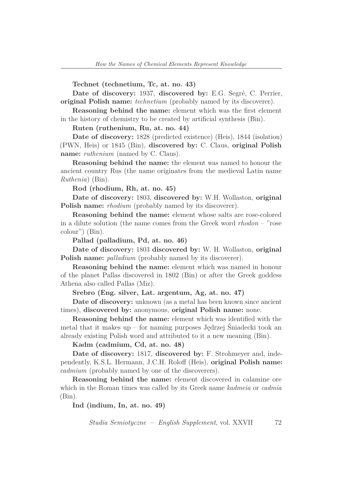**Technet (technetium, Tc, at. no. 43)**

**Date of discovery:** 1937, **discovered by:** E.G. Segré, C. Perrier, **original Polish name:** *technetium* (probably named by its discoverer).

**Reasoning behind the name:** element which was the first element in the history of chemistry to be created by artificial synthesis (Bin).

**Ruten (ruthenium, Ru, at. no. 44)**

**Date of discovery:** 1828 (predicted existence) (Heis), 1844 (isolation) (PWN, Heis) or 1845 (Bin), **discovered by:** C. Claus, **original Polish name:** *ruthenium* (named by C. Claus).

**Reasoning behind the name:** the element was named to honour the ancient country Rus (the name originates from the medieval Latin name *Ruthenia*) (Bin).

**Rod (rhodium, Rh, at. no. 45)**

**Date of discovery:** 1803, **discovered by:** W.H. Wollaston, **original Polish name:** *rhodium* (probably named by its discoverer).

**Reasoning behind the name:** element whose salts are rose-colored in a dilute solution (the name comes from the Greek word *rhodon* – "rose colour") (Bin).

**Pallad (palladium, Pd, at. no. 46)**

**Date of discovery:** 1803 **discovered by:** W. H. Wollaston, **original Polish name:** *palladium* (probably named by its discoverer).

**Reasoning behind the name:** element which was named in honour of the planet Pallas discovered in 1802 (Bin) or after the Greek goddess Athena also called Pallas (Miz).

**Srebro (Eng. silver, Lat. argentum, Ag, at. no. 47)**

**Date of discovery:** unknown (as a metal has been known since ancient times), **discovered by:** anonymous, **original Polish name:** none.

**Reasoning behind the name:** element which was identified with the metal that it makes up – for naming purposes Jędrzej Śniadecki took an already existing Polish word and attributed to it a new meaning (Bin).

**Kadm (cadmium, Cd, at. no. 48)**

**Date of discovery:** 1817, **discovered by:** F. Strohmeyer and, independently, K.S.L. Hermann, J.C.H. Roloff (Heis), **original Polish name:** *cadmium* (probably named by one of the discoverers).

**Reasoning behind the name:** element discovered in calamine ore which in the Roman times was called by its Greek name *kadmeia* or *cadmia* (Bin).

**Ind (indium, In, at. no. 49)**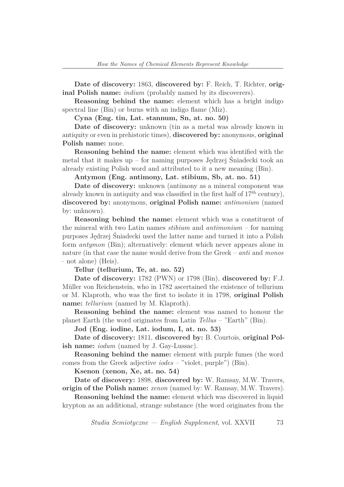**Date of discovery:** 1863, **discovered by:** F. Reich, T. Richter, **original Polish name:** *indium* (probably named by its discoverers).

**Reasoning behind the name:** element which has a bright indigo spectral line (Bin) or burns with an indigo flame (Miz).

**Cyna (Eng. tin, Lat. stannum, Sn, at. no. 50)**

**Date of discovery:** unknown (tin as a metal was already known in antiquity or even in prehistoric times), **discovered by:** anonymous, **original Polish name:** none.

**Reasoning behind the name:** element which was identified with the metal that it makes up – for naming purposes Jędrzej Śniadecki took an already existing Polish word and attributed to it a new meaning (Bin).

**Antymon (Eng. antimony, Lat. stibium, Sb, at. no. 51)**

**Date of discovery:** unknown (antimony as a mineral component was already known in antiquity and was classified in the first half of  $17<sup>th</sup>$  century), **discovered by:** anonymous, **original Polish name:** *antimonium* (named by: unknown).

**Reasoning behind the name:** element which was a constituent of the mineral with two Latin names *stibium* and *antimonium* – for naming purposes Jędrzej Śniadecki used the latter name and turned it into a Polish form *antymon* (Bin); alternatively: element which never appears alone in nature (in that case the name would derive from the Greek – *anti* and *monos* – not alone) (Heis).

**Tellur (tellurium, Te, at. no. 52)**

**Date of discovery:** 1782 (PWN) or 1798 (Bin), **discovered by:** F.J. Müller von Reichenstein, who in 1782 ascertained the existence of tellurium or M. Klaproth, who was the first to isolate it in 1798, **original Polish name:** *tellurium* (named by M. Klaproth).

**Reasoning behind the name:** element was named to honour the planet Earth (the word originates from Latin *Tellus* – "Earth" (Bin).

**Jod (Eng. iodine, Lat. iodum, I, at. no. 53)**

**Date of discovery:** 1811, **discovered by:** B. Courtois, **original Polish name:** *iodum* (named by J. Gay-Lussac).

**Reasoning behind the name:** element with purple fumes (the word comes from the Greek adjective *iodes* – "violet, purple") (Bin).

**Ksenon (xenon, Xe, at. no. 54)**

**Date of discovery:** 1898, **discovered by:** W. Ramsay, M.W. Travers, **origin of the Polish name:** *xenon* (named by: W. Ramsay, M.W. Travers).

**Reasoning behind the name:** element which was discovered in liquid krypton as an additional, strange substance (the word originates from the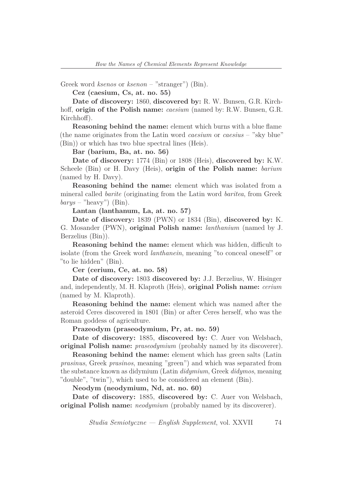Greek word *ksenos* or *ksenon* – "stranger") (Bin).

**Cez (caesium, Cs, at. no. 55)**

**Date of discovery:** 1860, **discovered by:** R. W. Bunsen, G.R. Kirchhoff, **origin of the Polish name:** *caesium* (named by: R.W. Bunsen, G.R. Kirchhoff).

**Reasoning behind the name:** element which burns with a blue flame (the name originates from the Latin word *caesium* or *caesius* – "sky blue" (Bin)) or which has two blue spectral lines (Heis).

**Bar (barium, Ba, at. no. 56)**

**Date of discovery:** 1774 (Bin) or 1808 (Heis), **discovered by:** K.W. Scheele (Bin) or H. Davy (Heis), **origin of the Polish name:** *barium* (named by H. Davy).

**Reasoning behind the name:** element which was isolated from a mineral called *barite* (originating from the Latin word *baritea*, from Greek *barys* – "heavy") (Bin).

**Lantan (lanthanum, La, at. no. 57)**

**Date of discovery:** 1839 (PWN) or 1834 (Bin), **discovered by:** K. G. Mosander (PWN), **original Polish name:** *lanthanium* (named by J. Berzelius (Bin)).

**Reasoning behind the name:** element which was hidden, difficult to isolate (from the Greek word *lanthanein*, meaning "to conceal oneself" or "to lie hidden" (Bin).

**Cer (cerium, Ce, at. no. 58)**

**Date of discovery:** 1803 **discovered by:** J.J. Berzelius, W. Hisinger and, independently, M. H. Klaproth (Heis), **original Polish name:** *cerium* (named by M. Klaproth).

**Reasoning behind the name:** element which was named after the asteroid Ceres discovered in 1801 (Bin) or after Ceres herself, who was the Roman goddess of agriculture.

**Prazeodym (praseodymium, Pr, at. no. 59)**

**Date of discovery:** 1885, **discovered by:** C. Auer von Welsbach, **original Polish name:** *praseodymium* (probably named by its discoverer).

**Reasoning behind the name:** element which has green salts (Latin *prasinus*, Greek *prasinos*, meaning "green") and which was separated from the substance known as didymium (Latin *didymium*, Greek *didymos*, meaning "double", "twin"), which used to be considered an element (Bin).

**Neodym (neodymium, Nd, at. no. 60)**

**Date of discovery:** 1885, **discovered by:** C. Auer von Welsbach, **original Polish name:** *neodymium* (probably named by its discoverer).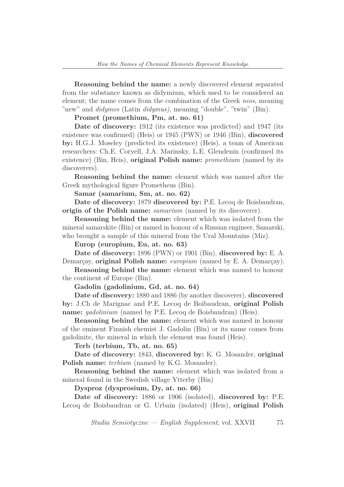**Reasoning behind the name:** a newly discovered element separated from the substance known as didymium, which used to be considered an element; the name comes from the combination of the Greek *neos*, meaning "new" and *didymos* (Latin *didymus)*, meaning "double", "twin" (Bin).

**Promet (promethium, Pm, at. no. 61)**

**Date of discovery:** 1912 (its existence was predicted) and 1947 (its existence was confirmed) (Heis) or 1945 (PWN) or 1946 (Bin), **discovered by:** H.G.J. Moseley (predicted its existence) (Heis), a team of American researchers: Ch.E. Coryell, J.A. Marinsky, L.E. Glendenin (confirmed its existence) (Bin, Heis), **original Polish name:** *promethium* (named by its discoverers).

**Reasoning behind the name:** element which was named after the Greek mythological figure Prometheus (Bin).

**Samar (samarium, Sm, at. no. 62)**

**Date of discovery:** 1879 **discovered by:** P.E. Lecoq de Boisbaudran, **origin of the Polish name:** *samarium* (named by its discoverer).

**Reasoning behind the name:** element which was isolated from the mineral samarskite (Bin) or named in honour of a Russian engineer, Samarski, who brought a sample of this mineral from the Ural Mountains (Miz).

**Europ (europium, Eu, at. no. 63)**

**Date of discovery:** 1896 (PWN) or 1901 (Bin), **discovered by:** E. A. Demarçay, **original Polish name:** *europium* (named by E. A. Demarçay).

**Reasoning behind the name:** element which was named to honour the continent of Europe (Bin).

**Gadolin (gadolinium, Gd, at. no. 64)**

**Date of discovery:** 1880 and 1886 (by another discoverer), **discovered by:** J.Ch de Marignac and P.E. Lecoq de Boibaudran, **original Polish name:** *gadolinium* (named by P.E. Lecoq de Boisbaudran) (Heis).

**Reasoning behind the name:** element which was named in honour of the eminent Finnish chemist J. Gadolin (Bin) or its name comes from gadolinite, the mineral in which the element was found (Heis).

**Terb (terbium, Tb, at. no. 65)**

**Date of discovery:** 1843, **discovered by:** K. G. Mosander, **original Polish name:** *terbium* (named by K.G. Mosander).

**Reasoning behind the name:** element which was isolated from a mineral found in the Swedish village Ytterby (Bin)

**Dysproz (dysprosium, Dy, at. no. 66)**

**Date of discovery:** 1886 or 1906 (isolated), **discovered by:** P.E. Lecoq de Boisbaudran or G. Urbain (isolated) (Heis), **original Polish**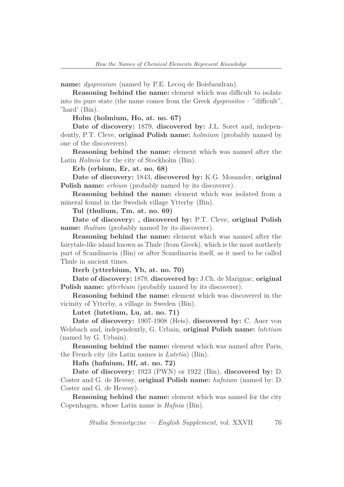**name:** *dysprosium* (named by P.E. Lecoq de Boisbaudran).

**Reasoning behind the name:** element which was difficult to isolate into its pure state (the name comes from the Greek *dysprositos* – "difficult", "hard' (Bin).

**Holm (holmium, Ho, at. no. 67)**

**Date of discovery:** 1879, **discovered by:** J.L. Soret and, independently, P.T. Cleve, **original Polish name:** *holmium* (probably named by one of the discoverers).

**Reasoning behind the name:** element which was named after the Latin *Holmia* for the city of Stockholm (Bin).

**Erb (erbium, Er, at. no. 68)**

**Date of discovery:** 1843, **discovered by:** K.G. Mosander, **original Polish name:** *erbium* (probably named by its discoverer).

**Reasoning behind the name:** element which was isolated from a mineral found in the Swedish village Ytterby (Bin).

**Tul (thulium, Tm, at. no. 69)**

**Date of discovery: , discovered by:** P.T. Cleve, **original Polish name:** *thulium* (probably named by its discoverer).

**Reasoning behind the name:** element which was named after the fairytale-like island known as Thule (from Greek), which is the most northerly part of Scandinavia (Bin) or after Scandinavia itself, as it used to be called Thule in ancient times.

**Iterb (ytterbium, Yb, at. no. 70)**

**Date of discovery:** 1878, **discovered by:** J.Ch. de Marignac, **original Polish name:** *ytterbium* (probably named by its discoverer).

**Reasoning behind the name:** element which was discovered in the vicinity of Ytterby, a village in Sweden (Bin).

**Lutet (lutetium, Lu, at. no. 71)**

**Date of discovery:** 1907-1908 (Heis), **discovered by:** C. Auer von Welsbach and, independently, G. Urbain, **original Polish name:** *lutetium* (named by G. Urbain).

**Reasoning behind the name:** element which was named after Paris, the French city (its Latin names is *Lutetia*) (Bin).

**Hafn (hafnium, Hf, at. no. 72)**

**Date of discovery:** 1923 (PWN) or 1922 (Bin), **discovered by:** D. Coster and G. de Hevesy, **original Polish name:** *hafnium* (named by: D. Coster and G. de Hevesy).

**Reasoning behind the name:** element which was named for the city Copenhagen, whose Latin name is *Hafnia* (Bin).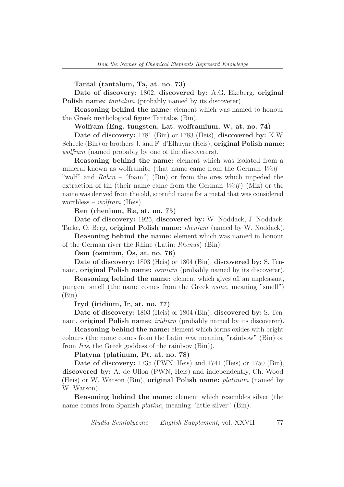**Tantal (tantalum, Ta, at. no. 73)**

**Date of discovery:** 1802, **discovered by:** A.G. Ekeberg, **original Polish name:** *tantalum* (probably named by its discoverer).

**Reasoning behind the name:** element which was named to honour the Greek mythological figure Tantalos (Bin).

**Wolfram (Eng. tungsten, Lat. wolframium, W, at. no. 74)**

**Date of discovery:** 1781 (Bin) or 1783 (Heis), **discovered by:** K.W. Scheele (Bin) or brothers J. and F. d'Elhuyar (Heis), **original Polish name:** *wolfram* (named probably by one of the discoverers).

**Reasoning behind the name:** element which was isolated from a mineral known as wolframite (that name came from the German *Wolf* – "wolf" and *Rahm* – "foam") (Bin) or from the ores which impeded the extraction of tin (their name came from the German *Wolf*) (Miz) or the name was derived from the old, scornful name for a metal that was considered worthless – *wolfram* (Heis).

**Ren (rhenium, Re, at. no. 75)**

**Date of discovery:** 1925, **discovered by:** W. Noddack, J. Noddack-Tacke, O. Berg, **original Polish name:** *rhenium* (named by W. Noddack).

**Reasoning behind the name:** element which was named in honour of the German river the Rhine (Latin: *Rhenus*) (Bin).

**Osm (osmium, Os, at. no. 76)**

**Date of discovery:** 1803 (Heis) or 1804 (Bin), **discovered by:** S. Tennant, **original Polish name:** *osmium* (probably named by its discoverer).

**Reasoning behind the name:** element which gives off an unpleasant, pungent smell (the name comes from the Greek *osme*, meaning "smell") (Bin).

**Iryd (iridium, Ir, at. no. 77)**

**Date of discovery:** 1803 (Heis) or 1804 (Bin), **discovered by:** S. Tennant, **original Polish name:** *iridium* (probably named by its discoverer).

**Reasoning behind the name:** element which forms oxides with bright colours (the name comes from the Latin *iris*, meaning "rainbow" (Bin) or from *Iris*, the Greek goddess of the rainbow (Bin)).

**Platyna (platinum, Pt, at. no. 78)**

**Date of discovery:** 1735 (PWN, Heis) and 1741 (Heis) or 1750 (Bin), **discovered by:** A. de Ulloa (PWN, Heis) and independently, Ch. Wood (Heis) or W. Watson (Bin), **original Polish name:** *platinum* (named by W. Watson).

**Reasoning behind the name:** element which resembles silver (the name comes from Spanish *platina*, meaning "little silver" (Bin).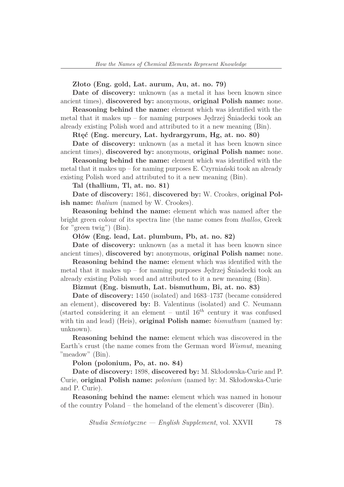#### **Złoto (Eng. gold, Lat. aurum, Au, at. no. 79)**

**Date of discovery:** unknown (as a metal it has been known since ancient times), **discovered by:** anonymous, **original Polish name:** none.

**Reasoning behind the name:** element which was identified with the metal that it makes up – for naming purposes Jędrzej Śniadecki took an already existing Polish word and attributed to it a new meaning (Bin).

**Rtęć (Eng. mercury, Lat. hydrargyrum, Hg, at. no. 80)**

**Date of discovery:** unknown (as a metal it has been known since ancient times), **discovered by:** anonymous, **original Polish name:** none.

**Reasoning behind the name:** element which was identified with the metal that it makes up – for naming purposes E. Czyrniański took an already existing Polish word and attributed to it a new meaning (Bin).

**Tal (thallium, Tl, at. no. 81)**

**Date of discovery:** 1861, **discovered by:** W. Crookes, **original Polish name:** *thalium* (named by W. Crookes).

**Reasoning behind the name:** element which was named after the bright green colour of its spectra line (the name comes from *thallos*, Greek for "green twig") (Bin).

**Ołów (Eng. lead, Lat. plumbum, Pb, at. no. 82)**

**Date of discovery:** unknown (as a metal it has been known since ancient times), **discovered by:** anonymous, **original Polish name:** none.

**Reasoning behind the name:** element which was identified with the metal that it makes up – for naming purposes Jędrzej Śniadecki took an already existing Polish word and attributed to it a new meaning (Bin).

**Bizmut (Eng. bismuth, Lat. bismuthum, Bi, at. no. 83)**

**Date of discovery:** 1450 (isolated) and 1683–1737 (became considered an element), **discovered by:** B. Valentinus (isolated) and C. Neumann (started considering it an element – until  $16<sup>th</sup>$  century it was confused with tin and lead) (Heis), **original Polish name:** *bismuthum* (named by: unknown).

**Reasoning behind the name:** element which was discovered in the Earth's crust (the name comes from the German word *Wismut*, meaning "meadow" (Bin).

**Polon (polonium, Po, at. no. 84)**

**Date of discovery:** 1898, **discovered by:** M. Skłodowska-Curie and P. Curie, **original Polish name:** *polonium* (named by: M. Skłodowska-Curie and P. Curie).

**Reasoning behind the name:** element which was named in honour of the country Poland – the homeland of the element's discoverer (Bin).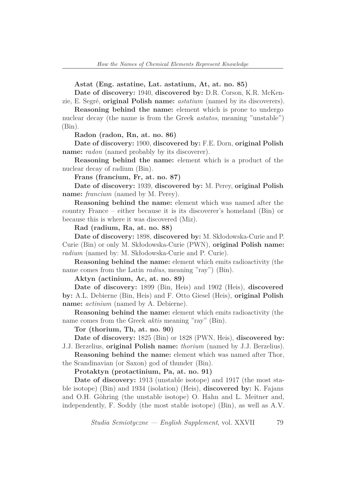**Astat (Eng. astatine, Lat. astatium, At, at. no. 85)**

**Date of discovery:** 1940, **discovered by:** D.R. Corson, K.R. McKenzie, E. Segr´e, **original Polish name:** *astatium* (named by its discoverers).

**Reasoning behind the name:** element which is prone to undergo nuclear decay (the name is from the Greek *astatos*, meaning "unstable")  $(Bin).$ 

**Radon (radon, Rn, at. no. 86)**

**Date of discovery:** 1900, **discovered by:** F.E. Dorn, **original Polish name:** *radon* (named probably by its discoverer).

**Reasoning behind the name:** element which is a product of the nuclear decay of radium (Bin).

**Frans (francium, Fr, at. no. 87)**

**Date of discovery:** 1939, **discovered by:** M. Perey, **original Polish name:** *francium* (named by M. Perey).

**Reasoning behind the name:** element which was named after the country France – either because it is its discoverer's homeland (Bin) or because this is where it was discovered (Miz).

**Rad (radium, Ra, at. no. 88)**

**Date of discovery:** 1898, **discovered by:** M. Skłodowska-Curie and P. Curie (Bin) or only M. Skłodowska-Curie (PWN), **original Polish name:** *radium* (named by: M. Skłodowska-Curie and P. Curie).

**Reasoning behind the name:** element which emits radioactivity (the name comes from the Latin *radius*, meaning "ray") (Bin).

**Aktyn (actinium, Ac, at. no. 89)**

**Date of discovery:** 1899 (Bin, Heis) and 1902 (Heis), **discovered by:** A.L. Debierne (Bin, Heis) and F. Otto Giesel (Heis), **original Polish name:** *actinium* (named by A. Debierne).

**Reasoning behind the name:** element which emits radioactivity (the name comes from the Greek *aktis* meaning "ray" (Bin).

**Tor (thorium, Th, at. no. 90)**

**Date of discovery:** 1825 (Bin) or 1828 (PWN, Heis), **discovered by:** J.J. Berzelius, **original Polish name:** *thorium* (named by J.J. Berzelius).

**Reasoning behind the name:** element which was named after Thor, the Scandinavian (or Saxon) god of thunder (Bin).

**Protaktyn (protactinium, Pa, at. no. 91)**

**Date of discovery:** 1913 (unstable isotope) and 1917 (the most stable isotope) (Bin) and 1934 (isolation) (Heis), **discovered by:** K. Fajans and O.H. Göhring (the unstable isotope) O. Hahn and L. Meitner and, independently, F. Soddy (the most stable isotope) (Bin), as well as A.V.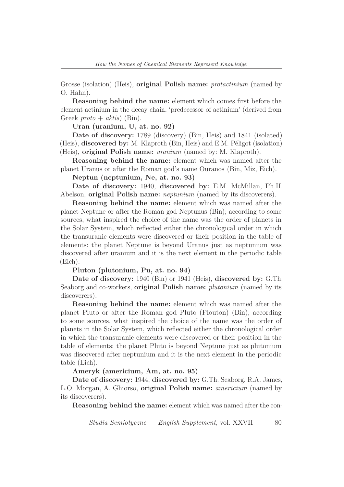Grosse (isolation) (Heis), **original Polish name:** *protactinium* (named by O. Hahn).

**Reasoning behind the name:** element which comes first before the element actinium in the decay chain, 'predecessor of actinium' (derived from Greek *proto* + *aktis*) (Bin).

**Uran (uranium, U, at. no. 92)**

**Date of discovery:** 1789 (discovery) (Bin, Heis) and 1841 (isolated) (Heis), **discovered by:** M. Klaproth (Bin, Heis) and E.M. Péligot (isolation) (Heis), **original Polish name:** *uranium* (named by: M. Klaproth).

**Reasoning behind the name:** element which was named after the planet Uranus or after the Roman god's name Ouranos (Bin, Miz, Eich).

**Neptun (neptunium, Ne, at. no. 93)**

**Date of discovery:** 1940, **discovered by:** E.M. McMillan, Ph.H. Abelson, **original Polish name:** *neptunium* (named by its discoverers).

**Reasoning behind the name:** element which was named after the planet Neptune or after the Roman god Neptunus (Bin); according to some sources, what inspired the choice of the name was the order of planets in the Solar System, which reflected either the chronological order in which the transuranic elements were discovered or their position in the table of elements: the planet Neptune is beyond Uranus just as neptunium was discovered after uranium and it is the next element in the periodic table (Eich).

**Pluton (plutonium, Pu, at. no. 94)**

**Date of discovery:** 1940 (Bin) or 1941 (Heis), **discovered by:** G.Th. Seaborg and co-workers, **original Polish name:** *plutonium* (named by its discoverers).

**Reasoning behind the name:** element which was named after the planet Pluto or after the Roman god Pluto (Plouton) (Bin); according to some sources, what inspired the choice of the name was the order of planets in the Solar System, which reflected either the chronological order in which the transuranic elements were discovered or their position in the table of elements: the planet Pluto is beyond Neptune just as plutonium was discovered after neptunium and it is the next element in the periodic table (Eich).

**Ameryk (americium, Am, at. no. 95)**

**Date of discovery:** 1944, **discovered by:** G.Th. Seaborg, R.A. James, L.O. Morgan, A. Ghiorso, **original Polish name:** *americium* (named by its discoverers).

**Reasoning behind the name:** element which was named after the con-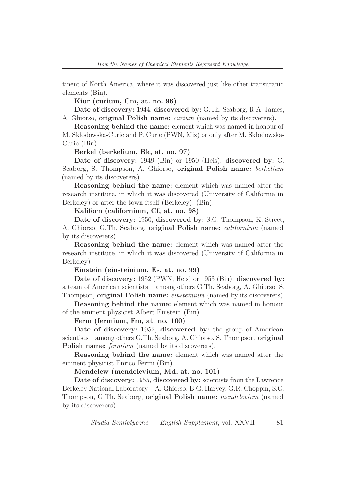tinent of North America, where it was discovered just like other transuranic elements (Bin).

**Kiur (curium, Cm, at. no. 96)**

**Date of discovery:** 1944, **discovered by:** G.Th. Seaborg, R.A. James, A. Ghiorso, **original Polish name:** *curium* (named by its discoverers).

**Reasoning behind the name:** element which was named in honour of M. Skłodowska-Curie and P. Curie (PWN, Miz) or only after M. Skłodowska-Curie (Bin).

**Berkel (berkelium, Bk, at. no. 97)**

**Date of discovery:** 1949 (Bin) or 1950 (Heis), **discovered by:** G. Seaborg, S. Thompson, A. Ghiorso, **original Polish name:** *berkelium* (named by its discoverers).

**Reasoning behind the name:** element which was named after the research institute, in which it was discovered (University of California in Berkeley) or after the town itself (Berkeley). (Bin).

**Kaliforn (californium, Cf, at. no. 98)**

**Date of discovery:** 1950, **discovered by:** S.G. Thompson, K. Street, A. Ghiorso, G.Th. Seaborg, **original Polish name:** *californium* (named by its discoverers).

**Reasoning behind the name:** element which was named after the research institute, in which it was discovered (University of California in Berkeley)

**Einstein (einsteinium, Es, at. no. 99)**

**Date of discovery:** 1952 (PWN, Heis) or 1953 (Bin), **discovered by:** a team of American scientists – among others G.Th. Seaborg, A. Ghiorso, S. Thompson, **original Polish name:** *einsteinium* (named by its discoverers).

**Reasoning behind the name:** element which was named in honour of the eminent physicist Albert Einstein (Bin).

**Ferm (fermium, Fm, at. no. 100)**

**Date of discovery:** 1952, **discovered by:** the group of American scientists – among others G.Th. Seaborg. A. Ghiorso, S. Thompson, **original Polish name:** *fermium* (named by its discoverers).

**Reasoning behind the name:** element which was named after the eminent physicist Enrico Fermi (Bin).

**Mendelew (mendelevium, Md, at. no. 101)**

**Date of discovery:** 1955, **discovered by:** scientists from the Lawrence Berkeley National Laboratory – A. Ghiorso, B.G. Harvey, G.R. Choppin, S.G. Thompson, G.Th. Seaborg, **original Polish name:** *mendelevium* (named by its discoverers).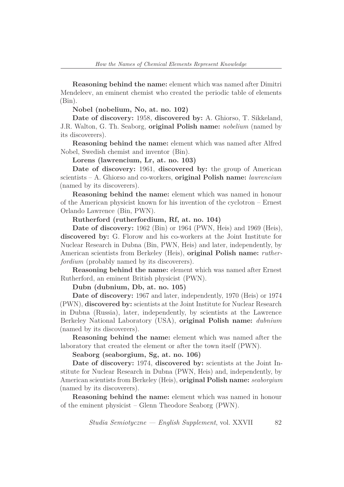**Reasoning behind the name:** element which was named after Dimitri Mendeleev, an eminent chemist who created the periodic table of elements (Bin).

**Nobel (nobelium, No, at. no. 102)**

**Date of discovery:** 1958, **discovered by:** A. Ghiorso, T. Sikkeland, J.R. Walton, G. Th. Seaborg, **original Polish name:** *nobelium* (named by its discoverers).

**Reasoning behind the name:** element which was named after Alfred Nobel, Swedish chemist and inventor (Bin).

**Lorens (lawrencium, Lr, at. no. 103)**

**Date of discovery:** 1961, **discovered by:** the group of American scientists – A. Ghiorso and co-workers, **original Polish name:** *lawrencium* (named by its discoverers).

**Reasoning behind the name:** element which was named in honour of the American physicist known for his invention of the cyclotron – Ernest Orlando Lawrence (Bin, PWN).

**Rutherford (rutherfordium, Rf, at. no. 104)**

**Date of discovery:** 1962 (Bin) or 1964 (PWN, Heis) and 1969 (Heis), **discovered by:** G. Florow and his co-workers at the Joint Institute for Nuclear Research in Dubna (Bin, PWN, Heis) and later, independently, by American scientists from Berkeley (Heis), **original Polish name:** *rutherfordium* (probably named by its discoverers).

**Reasoning behind the name:** element which was named after Ernest Rutherford, an eminent British physicist (PWN).

**Dubn (dubnium, Db, at. no. 105)**

**Date of discovery:** 1967 and later, independently, 1970 (Heis) or 1974 (PWN), **discovered by:** scientists at the Joint Institute for Nuclear Research in Dubna (Russia), later, independently, by scientists at the Lawrence Berkeley National Laboratory (USA), **original Polish name:** *dubnium* (named by its discoverers).

**Reasoning behind the name:** element which was named after the laboratory that created the element or after the town itself (PWN).

**Seaborg (seaborgium, Sg, at. no. 106)**

**Date of discovery:** 1974, **discovered by:** scientists at the Joint Institute for Nuclear Research in Dubna (PWN, Heis) and, independently, by American scientists from Berkeley (Heis), **original Polish name:** *seaborgium* (named by its discoverers).

**Reasoning behind the name:** element which was named in honour of the eminent physicist – Glenn Theodore Seaborg (PWN).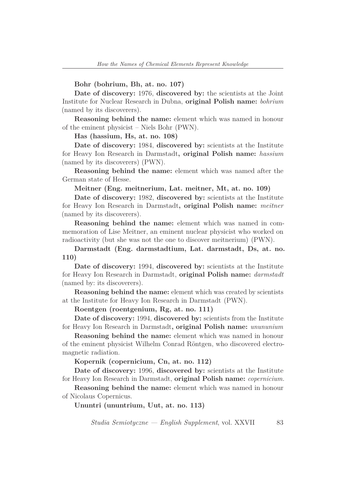#### **Bohr (bohrium, Bh, at. no. 107)**

**Date of discovery:** 1976, **discovered by:** the scientists at the Joint Institute for Nuclear Research in Dubna, **original Polish name:** *bohrium* (named by its discoverers).

**Reasoning behind the name:** element which was named in honour of the eminent physicist – Niels Bohr (PWN).

**Has (hassium, Hs, at. no. 108)**

**Date of discovery:** 1984, **discovered by:** scientists at the Institute for Heavy Ion Research in Darmstadt**, original Polish name:** *hassium* (named by its discoverers) (PWN).

**Reasoning behind the name:** element which was named after the German state of Hesse.

**Meitner (Eng. meitnerium, Lat. meitner, Mt, at. no. 109)**

**Date of discovery:** 1982, **discovered by:** scientists at the Institute for Heavy Ion Research in Darmstadt**, original Polish name:** *meitner* (named by its discoverers).

**Reasoning behind the name:** element which was named in commemoration of Lise Meitner, an eminent nuclear physicist who worked on radioactivity (but she was not the one to discover meitnerium) (PWN).

**Darmstadt (Eng. darmstadtium, Lat. darmstadt, Ds, at. no. 110)**

**Date of discovery:** 1994, **discovered by:** scientists at the Institute for Heavy Ion Research in Darmstadt, **original Polish name:** *darmstadt* (named by: its discoverers).

**Reasoning behind the name:** element which was created by scientists at the Institute for Heavy Ion Research in Darmstadt (PWN).

#### **Roentgen (roentgenium, Rg, at. no. 111)**

**Date of discovery:** 1994, **discovered by:** scientists from the Institute for Heavy Ion Research in Darmstadt**, original Polish name:** *unununium*

**Reasoning behind the name:** element which was named in honour of the eminent physicist Wilhelm Conrad Röntgen, who discovered electromagnetic radiation.

**Kopernik (copernicium, Cn, at. no. 112)**

**Date of discovery:** 1996, **discovered by:** scientists at the Institute for Heavy Ion Research in Darmstadt, **original Polish name:** *copernicium.*

**Reasoning behind the name:** element which was named in honour of Nicolaus Copernicus.

**Ununtri (ununtrium, Uut, at. no. 113)**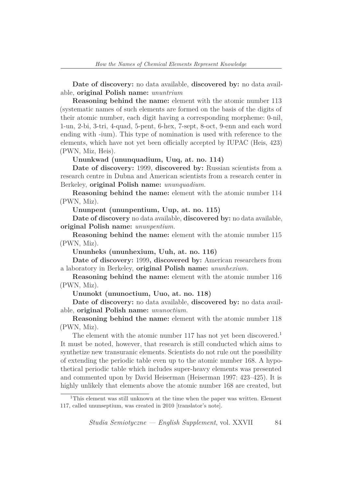**Date of discovery:** no data available, **discovered by:** no data available, **original Polish name:** *ununtrium*

**Reasoning behind the name:** element with the atomic number 113 (systematic names of such elements are formed on the basis of the digits of their atomic number, each digit having a corresponding morpheme: 0-nil, 1-un, 2-bi, 3-tri, 4-quad, 5-pent, 6-hex, 7-sept, 8-oct, 9-enn and each word ending with -ium). This type of nomination is used with reference to the elements, which have not yet been officially accepted by IUPAC (Heis, 423) (PWN, Miz, Heis).

**Ununkwad (ununquadium, Uuq, at. no. 114)**

**Date of discovery:** 1999, **discovered by:** Russian scientists from a research centre in Dubna and American scientists from a research center in Berkeley, **original Polish name:** *ununquadium.*

**Reasoning behind the name:** element with the atomic number 114 (PWN, Miz).

**Ununpent (ununpentium, Uup, at. no. 115)**

**Date of discovery** no data available, **discovered by:** no data available, **original Polish name:** *ununpentium.*

**Reasoning behind the name:** element with the atomic number 115 (PWN, Miz).

**Ununheks (ununhexium, Uuh, at. no. 116)**

**Date of discovery:** 1999**, discovered by:** American researchers from a laboratory in Berkeley, **original Polish name:** *ununhexium.*

**Reasoning behind the name:** element with the atomic number 116 (PWN, Miz).

**Ununokt (ununoctium, Uuo, at. no. 118)**

**Date of discovery:** no data available, **discovered by:** no data available, **original Polish name:** *ununoctium.*

**Reasoning behind the name:** element with the atomic number 118 (PWN, Miz).

The element with the atomic number 117 has not yet been discovered.<sup>1</sup> It must be noted, however, that research is still conducted which aims to synthetize new transuranic elements. Scientists do not rule out the possibility of extending the periodic table even up to the atomic number 168. A hypothetical periodic table which includes super-heavy elements was presented and commented upon by David Heiserman (Heiserman 1997: 423–425). It is highly unlikely that elements above the atomic number 168 are created, but

<sup>&</sup>lt;sup>1</sup>This element was still unknown at the time when the paper was written. Element 117, called ununseptium, was created in 2010 [translator's note].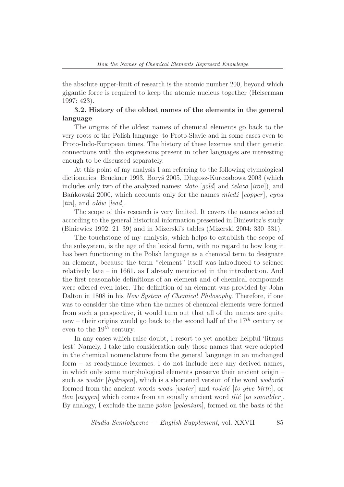the absolute upper-limit of research is the atomic number 200, beyond which gigantic force is required to keep the atomic nucleus together (Heiserman 1997: 423).

# **3.2. History of the oldest names of the elements in the general language**

The origins of the oldest names of chemical elements go back to the very roots of the Polish language: to Proto-Slavic and in some cases even to Proto-Indo-European times. The history of these lexemes and their genetic connections with the expressions present in other languages are interesting enough to be discussed separately.

At this point of my analysis I am referring to the following etymological dictionaries: Brückner 1993, Boryś 2005, Długosz-Kurczabowa 2003 (which includes only two of the analyzed names: *złoto* [*gold*] and *żelazo* [*iron*]), and Bańkowski 2000, which accounts only for the names *miedź* [*copper*], *cyna* [*tin*], and *ołów* [*lead*].

The scope of this research is very limited. It covers the names selected according to the general historical information presented in Biniewicz's study (Biniewicz 1992: 21–39) and in Mizerski's tables (Mizerski 2004: 330–331).

The touchstone of my analysis, which helps to establish the scope of the subsystem, is the age of the lexical form, with no regard to how long it has been functioning in the Polish language as a chemical term to designate an element, because the term "element" itself was introduced to science relatively late – in 1661, as I already mentioned in the introduction. And the first reasonable definitions of an element and of chemical compounds were offered even later. The definition of an element was provided by John Dalton in 1808 in his *New System of Chemical Philosophy*. Therefore, if one was to consider the time when the names of chemical elements were formed from such a perspective, it would turn out that all of the names are quite new – their origins would go back to the second half of the 17*th* century or even to the 19*th* century.

In any cases which raise doubt, I resort to yet another helpful 'litmus test'. Namely, I take into consideration only those names that were adopted in the chemical nomenclature from the general language in an unchanged form – as readymade lexemes. I do not include here any derived names, in which only some morphological elements preserve their ancient origin – such as *wodór* [*hydrogen*], which is a shortened version of the word *wodoród* formed from the ancient words *woda* [*water*] and *rodzić* [*to give birth*], or *tlen* [*oxygen*] which comes from an equally ancient word *tlić* [*to smoulder*]. By analogy, I exclude the name *polon* [*polonium*], formed on the basis of the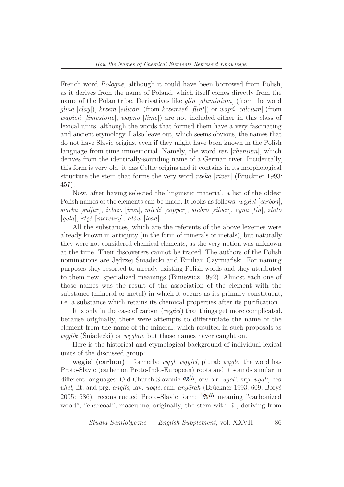French word *Pologne*, although it could have been borrowed from Polish, as it derives from the name of Poland, which itself comes directly from the name of the Polan tribe. Derivatives like *glin* [*aluminium*] (from the word *glina* [*clay*]), *krzem* [*silicon*] (from *krzemień* [*flint*]) or *wapń* [*calcium*] (from *wapień* [*limestone*], *wapno* [*lime*]) are not included either in this class of lexical units, although the words that formed them have a very fascinating and ancient etymology. I also leave out, which seems obvious, the names that do not have Slavic origins, even if they might have been known in the Polish language from time immemorial. Namely, the word *ren* [*rhenium*], which derives from the identically-sounding name of a German river. Incidentally, this form is very old, it has Celtic origins and it contains in its morphological structure the stem that forms the very word *rzeka* [*river*] (Brückner 1993: 457).

Now, after having selected the linguistic material, a list of the oldest Polish names of the elements can be made. It looks as follows: *węgiel* [*carbon*], *siarka* [*sulfur*], *żelazo* [*iron*], *miedź* [*copper*], *srebro* [*silver*], *cyna* [*tin*], *złoto* [*gold*], *rtęć* [*mercury*], *ołów* [*lead*].

All the substances, which are the referents of the above lexemes were already known in antiquity (in the form of minerals or metals), but naturally they were not considered chemical elements, as the very notion was unknown at the time. Their discoverers cannot be traced. The authors of the Polish nominations are Jędrzej Śniadecki and Emilian Czyrniański. For naming purposes they resorted to already existing Polish words and they attributed to them new, specialized meanings (Biniewicz 1992). Almost each one of those names was the result of the association of the element with the substance (mineral or metal) in which it occurs as its primary constituent, i.e. a substance which retains its chemical properties after its purification.

It is only in the case of carbon (*węgiel*) that things get more complicated, because originally, there were attempts to differentiate the name of the element from the name of the mineral, which resulted in such proposals as *węglik* (Śniadecki) or *węglan*, but those names never caught on.

Here is the historical and etymological background of individual lexical units of the discussed group:

**węgiel (carbon)** – formerly: *wągl*, *wągiel*, plural: *wągle*; the word has Proto-Slavic (earlier on Proto-Indo-European) roots and it sounds similar in different languages: Old Church Slavonic  $qglb$ , orv-olr. *ugol'*, srp. *ugal'*, ces. *uhel,* lit. and prg. *anglis,* lav. *uogle,* san. *ang¯arah* (Br¨uckner 1993: 609, Boryś 2005: 686); reconstructed Proto-Slavic form:  $*qglb$  meaning "carbonized" wood", "charcoal"; masculine; originally, the stem with *-*˘*ι-*, deriving from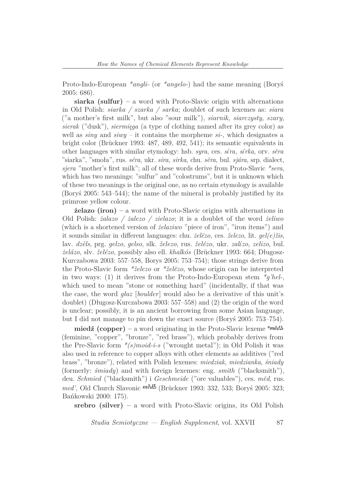Proto-Indo-European *\*angli-* (or *\*angelo-*) had the same meaning (Boryś 2005: 686).

**siarka (sulfur) –** a word with Proto-Slavic origin with alternations in Old Polish: *siarka / szarka / sarka*; doublet of such lexemes as: *siara* ("a mother's first milk", but also "sour milk"), *siarnik, siarczysty, szary, sierak* ("dusk"), *siermięga* (a type of clothing named after its grey color) as well as *siny* and *siwy –* it contains the morpheme *si-,* which designates a bright color (Brückner 1993: 487, 489, 492, 541); its semantic equivalents in other languages with similar etymology: hsb. *syra*, ces. *s*´*ιra, s*´*ιrka*, orv. *s˘era* "siarka", "smoła", rus. *s´era*, ukr. *sira*, *sirka*, chu. *s˘era*, bul. *sj´ara*, srp. dialect, *sjera* "mother's first milk"; all of these words derive from Proto-Slavic *\*sera*, which has two meanings: "sulfur" and "colostrums", but it is unknown which of these two meanings is the original one, as no certain etymology is available (Boryś 2005: 543–544); the name of the mineral is probably justified by its primrose yellow colour.

**żelazo (iron) –** a word with Proto-Slavic origins with alternations in Old Polish: *żalazo / żalezo / zielazo*; it is a doublet of the word *żeliwo* (which is a shortened version of *żelaziwo* "piece of iron", "iron items") and it sounds similar in different languages: chu. *żel˘ezo,* ces. *ˇzelezo*, lit. *gel(e)ˇzis*, lav. *dz`els*, prg. *gelzo*, *gelso*, slk. *ˇzelezo*, rus. *ˇzel´ezo*, ukr. *zal*´*ιzo*, *zelizo*, bul. *żelázo*, slv. *želézo*, possibly also ell. *khalkós* (Brückner 1993: 664; Długosz-Kurczabowa 2003: 557–558, Borys 2005: 753–754); those strings derive from the Proto-Slavic form *\*ˇzelezo* or *\*ˇzel˘ezo*, whose origin can be interpreted in two ways: (1) it derives from the Proto-Indo-European stem *\*g'hel-*, which used to mean "stone or something hard" (incidentally, if that was the case, the word *głaz* [*boulder*] would also be a derivative of this unit's doublet) (Długosz-Kurczabowa 2003: 557–558) and (2) the origin of the word is unclear; possibly, it is an ancient borrowing from some Asian language, but I did not manage to pin down the exact source (Boryś 2005: 753–754).

**miedź (copper)** – a word originating in the Proto-Slavic lexeme \*me<sup>\*</sup>me<sup>\*me\*</sup> (feminine, "copper", "bronze", "red brass"), which probably derives from the Pre-Slavic form *\*(s)moid-i-s* ("wrought metal"); in Old Polish it was also used in reference to copper alloys with other elements as additives ("red brass", "bronze"), related with Polish lexemes: *miedziak*, *miedzianka*, *śniady* (formerly: *śmiady*) and with foreign lexemes: eng. *smith* ("blacksmith"), deu. *Schmied* ("blacksmith") i *Geschmeide* ("ore valuables"), ces. *m˘ed*, rus. *med'*, Old Church Slavonic *mědb* (Brückner 1993: 332, 533; Boryś 2005: 323; Bańkowski 2000: 175).

**srebro (silver) –** a word with Proto-Slavic origins, its Old Polish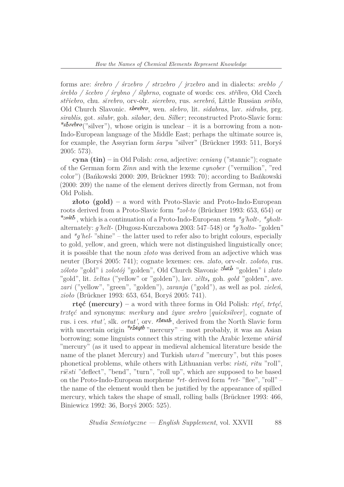forms are: *śrebro / śrzebro / strzebro / jrzebro* and in dialects: *srebło / śrebło / ˇscebro / śrybno / ślybrno*, cognate of words: ces. *stˇr´ıbro*, Old Czech *stˇriebro*, chu. *s*˘*ιrebro*, orv-olr. *sierebro*, rus. *serebró*, Little Russian *sribło*, Old Church Slavonic. *sbrebro*, wen. *slebro*, lit. *sidabras*, lav. *sidrabs*, prg. *sirablis*, got. *silubr*, goh. *silabar*, deu. *Silber*; reconstructed Proto-Slavic form: \*sbrebro("silver"), whose origin is unclear – it is a borrowing from a non-Indo-European language of the Middle East; perhaps the ultimate source is, for example, the Assyrian form  $\check{s}arpu$  "silver" (Brückner 1993: 511, Boryś 2005: 573).

**cyna (tin) –** in Old Polish: *cena*, adjective: *ceniany* ("stannic"); cognate of the German form *Zinn* and with the lexeme *cynober* ("vermilion", "red color") (Bańkowski 2000: 209, Brückner 1993: 70); according to Bańkowski (2000: 209) the name of the element derives directly from German, not from Old Polish.

**złoto (gold) –** a word with Proto-Slavic and Proto-Indo-European roots derived from a Proto-Slavic form *\*zol-to* (Brückner 1993: 653, 654) or , which is a continuation of a Proto-Indo-European stem *\*g'holt-, \*gholt*alternately: *g'helt-* (Długosz-Kurczabowa 2003: 547–548) or *\*g'holto-* "golden" and  $*q'hel-$  "shine" – the latter used to refer also to bright colours, especially to gold, yellow, and green, which were not distinguished linguistically once; it is possible that the noun *złoto* was derived from an adjective which was neuter (Boryś 2005: 741); cognate lexemes: ces. *zlato*, orv-olr. *zoloto*, rus. *zóloto* "gold" i *zolotój* "golden", Old Church Slavonic <sup>zlatb</sup> "golden" i *zlato* "gold", lit. *žełtas* ("yellow" or "golden"), lav. *zèlts*, goh. *gold* "golden", ave. *zari* ("yellow", "green", "golden"), *zaranja* ("gold"), as well as pol. *zieleń*, *zioło* (Br¨uckner 1993: 653, 654, Boryś 2005: 741).

**rtęć (mercury) –** a word with three forms in Old Polish: *rtęć*, *trtęć*, *trztęć* and synonyms: *merkury* and *żywe srebro* [*quicksilver*], cognate of rus. i ces. *rtut'*, slk. *ortut'*, orv. *rbtutb*, derived from the North Slavic form with uncertain origin  $* r^{b}$  mercury" – most probably, it was an Asian borrowing; some linguists connect this string with the Arabic lexeme *utarid* "mercury" (as it used to appear in medieval alchemical literature beside the name of the planet Mercury) and Turkish *utard* "mercury", but this poses phonetical problems, while others with Lithuanian verbs: *r`ısti, ritu* "roll", ri $\tilde{e}$ sti "deflect", "bend", "turn", "roll up", which are supposed to be based on the Proto-Indo-European morpheme *\*rt-* derived form *\*ret-* "flee", "roll" – the name of the element would then be justified by the appearance of spilled mercury, which takes the shape of small, rolling balls (Brückner 1993: 466, Biniewicz 1992: 36, Boryś 2005: 525).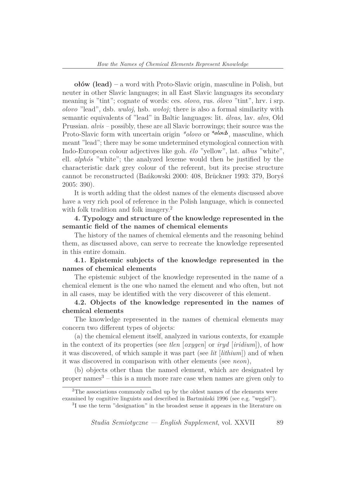**ołów (lead) –** a word with Proto-Slavic origin, masculine in Polish, but neuter in other Slavic languages; in all East Slavic languages its secondary meaning is "tint"; cognate of words: ces. *olovo*, rus. *ólovo* "tint", hrv. i srp. *olovo* "lead", dsb. *wuloj*, hsb. *wołoj*; there is also a formal similarity with semantic equivalents of "lead" in Baltic languages: lit. *álvas*, lav. *alvs*, Old Prussian. *alvis –* possibly, these are all Slavic borrowings; their source was the Proto-Slavic form with uncertain origin *\*olovo* or *\*olovb*, masculine, which meant "lead"; there may be some undetermined etymological connection with Indo-European colour adjectives like goh. *¨elo* "yellow", lat. *albus* "white", ell. *alphós* "white"; the analyzed lexeme would then be justified by the characteristic dark grey colour of the referent, but its precise structure cannot be reconstructed (Bańkowski 2000: 408, Brückner 1993: 379, Boryś 2005: 390).

It is worth adding that the oldest names of the elements discussed above have a very rich pool of reference in the Polish language, which is connected with folk tradition and folk imagery.<sup>2</sup>

**4. Typology and structure of the knowledge represented in the semantic field of the names of chemical elements**

The history of the names of chemical elements and the reasoning behind them, as discussed above, can serve to recreate the knowledge represented in this entire domain.

**4.1. Epistemic subjects of the knowledge represented in the names of chemical elements**

The epistemic subject of the knowledge represented in the name of a chemical element is the one who named the element and who often, but not in all cases, may be identified with the very discoverer of this element.

**4.2. Objects of the knowledge represented in the names of chemical elements**

The knowledge represented in the names of chemical elements may concern two different types of objects:

(a) the chemical element itself, analyzed in various contexts, for example in the context of its properties (see *tlen* [*oxygen*] or *iryd* [*iridium*]), of how it was discovered, of which sample it was part (see *lit* [*lithium*]) and of when it was discovered in comparison with other elements (see *neon*),

(b) objects other than the named element, which are designated by proper names $3 - \text{this}$  is a much more rare case when names are given only to

<sup>2</sup>The associations commonly called up by the oldest names of the elements were examined by cognitive linguists and described in Bartmiński 1996 (see e.g. "węgiel").

3 I use the term "designation" in the broadest sense it appears in the literature on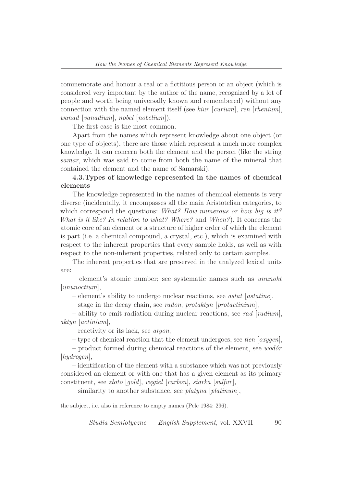commemorate and honour a real or a fictitious person or an object (which is considered very important by the author of the name, recognized by a lot of people and worth being universally known and remembered) without any connection with the named element itself (see *kiur* [*curium*], *ren* [*rhenium*], *wanad* [*vanadium*], *nobel* [*nobelium*]).

The first case is the most common.

Apart from the names which represent knowledge about one object (or one type of objects), there are those which represent a much more complex knowledge. It can concern both the element and the person (like the string *samar*, which was said to come from both the name of the mineral that contained the element and the name of Samarski).

# **4.3.Types of knowledge represented in the names of chemical elements**

The knowledge represented in the names of chemical elements is very diverse (incidentally, it encompasses all the main Aristotelian categories, to which correspond the questions: *What? How numerous or how big is it? What is it like? In relation to what? Where?* and *When?*). It concerns the atomic core of an element or a structure of higher order of which the element is part (i.e. a chemical compound, a crystal, etc.), which is examined with respect to the inherent properties that every sample holds, as well as with respect to the non-inherent properties, related only to certain samples.

The inherent properties that are preserved in the analyzed lexical units are:

– element's atomic number; see systematic names such as *ununokt* [*ununoctium*],

– element's ability to undergo nuclear reactions, see *astat* [*astatine*],

– stage in the decay chain, see *radon*, *protaktyn* [*protactinium*],

– ability to emit radiation during nuclear reactions, see *rad* [*radium*], *aktyn* [*actinium*],

– reactivity or its lack, see *argon*,

– type of chemical reaction that the element undergoes, see *tlen* [*oxygen*],

– product formed during chemical reactions of the element, see *wodór* [*hydrogen*],

– identification of the element with a substance which was not previously considered an element or with one that has a given element as its primary constituent, see *złoto* [*gold*], *węgiel* [*carbon*], *siarka* [*sulfur*],

– similarity to another substance, see *platyna* [*platinum*],

the subject, i.e. also in reference to empty names (Pelc 1984: 296).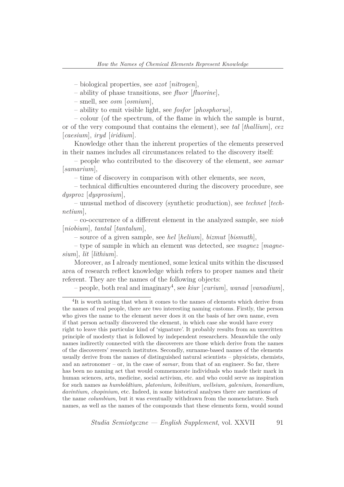– biological properties, see *azot* [*nitrogen*],

– ability of phase transitions, see *fluor* [*fluorine*],

– smell, see *osm* [*osmium*],

– ability to emit visible light, see *fosfor* [*phosphorus*],

– colour (of the spectrum, of the flame in which the sample is burnt, or of the very compound that contains the element), see *tal* [*thallium*], *cez* [*caesium*], *iryd* [*iridium*].

Knowledge other than the inherent properties of the elements preserved in their names includes all circumstances related to the discovery itself:

– people who contributed to the discovery of the element, see *samar* [*samarium*],

– time of discovery in comparison with other elements, see *neon*,

– technical difficulties encountered during the discovery procedure, see *dysproz* [*dysprosium*],

– unusual method of discovery (synthetic production), see *technet* [*technetium*],

– co-occurrence of a different element in the analyzed sample, see *niob* [*niobium*], *tantal* [*tantalum*],

– source of a given sample, see *hel* [*helium*], *bizmut* [*bismuth*],

– type of sample in which an element was detected, see *magnez* [*magnesium*], *lit* [*lithium*].

Moreover, as I already mentioned, some lexical units within the discussed area of research reflect knowledge which refers to proper names and their referent. They are the names of the following objects:

– people, both real and imaginary<sup>4</sup> , see *kiur* [*curium*], *wanad* [*vanadium*],

<sup>&</sup>lt;sup>4</sup>It is worth noting that when it comes to the names of elements which derive from the names of real people, there are two interesting naming customs. Firstly, the person who gives the name to the element never does it on the basis of her own name, even if that person actually discovered the element, in which case she would have every right to leave this particular kind of 'signature'. It probably results from an unwritten principle of modesty that is followed by independent researchers. Meanwhile the only names indirectly connected with the discoverers are those which derive from the names of the discoverers' research institutes. Secondly, surname-based names of the elements usually derive from the names of distinguished natural scientists – physicists, chemists, and an astronomer – or, in the case of *samar*, from that of an engineer. So far, there has been no naming act that would commemorate individuals who made their mark in human sciences, arts, medicine, social activism, etc. and who could serve as inspiration for such names as *humboldtium*, *platonium*, *leibnitium*, *wellsium*, *galenium*, *leonardium*, *davintium*, *chopinium*, etc. Indeed, in some historical analyses there are mentions of the name *columbium*, but it was eventually withdrawn from the nomenclature. Such names, as well as the names of the compounds that these elements form, would sound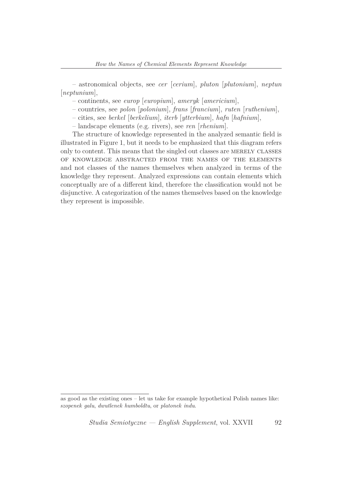– astronomical objects, see *cer* [*cerium*], *pluton* [*plutonium*], *neptun* [*neptunium*],

– continents, see *europ* [*europium*], *ameryk* [*americium*],

– countries, see *polon* [*polonium*], *frans* [*francium*], *ruten* [*ruthenium*],

– cities, see *berkel* [*berkelium*], *iterb* [*ytterbium*], *hafn* [*hafnium*],

– landscape elements (e.g. rivers), see *ren* [*rhenium*].

The structure of knowledge represented in the analyzed semantic field is illustrated in Figure 1, but it needs to be emphasized that this diagram refers only to content. This means that the singled out classes are merely classes of knowledge abstracted from the names of the elements and not classes of the names themselves when analyzed in terms of the knowledge they represent. Analyzed expressions can contain elements which conceptually are of a different kind, therefore the classification would not be disjunctive. A categorization of the names themselves based on the knowledge they represent is impossible.

as good as the existing ones – let us take for example hypothetical Polish names like: *szopenek galu*, *dwutlenek humboldtu*, or *platonek indu*.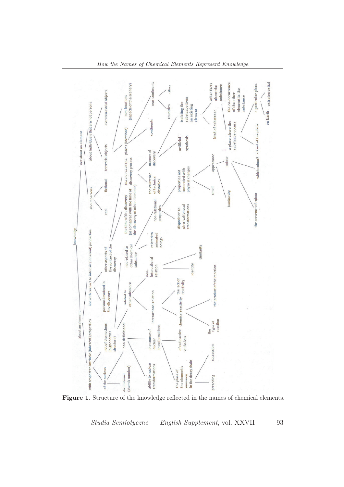

Figure 1. Structure of the knowledge reflected in the names of chemical elements.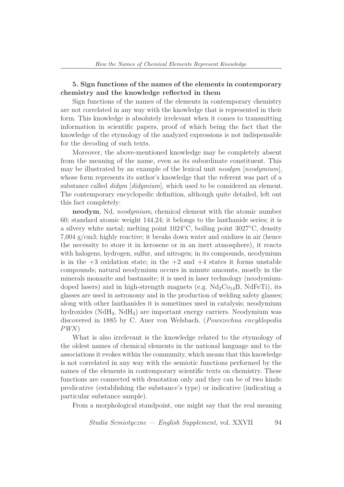# **5. Sign functions of the names of the elements in contemporary chemistry and the knowledge reflected in them**

Sign functions of the names of the elements in contemporary chemistry are not correlated in any way with the knowledge that is represented in their form. This knowledge is absolutely irrelevant when it comes to transmitting information in scientific papers, proof of which being the fact that the knowledge of the etymology of the analyzed expressions is not indispensable for the decoding of such texts.

Moreover, the above-mentioned knowledge may be completely absent from the meaning of the name, even as its subordinate constituent. This may be illustrated by an example of the lexical unit *neodym* [*neodymium*], whose form represents its author's knowledge that the referent was part of a substance called *didym* [*didymium*], which used to be considered an element. The contemporary encyclopedic definition, although quite detailed, left out this fact completely:

**neodym**, Nd, *neodymium*, chemical element with the atomic number 60; standard atomic weight 144,24; it belongs to the lanthanide series; it is a silvery white metal; melting point 1024*◦*C, boiling point 3027*◦*C, density 7,004 g/cm3; highly reactive; it breaks down water and oxidizes in air (hence the necessity to store it in kerosene or in an inert atmosphere), it reacts with halogens, hydrogen, sulfur, and nitrogen; in its compounds, neodymium is in the  $+3$  oxidation state; in the  $+2$  and  $+4$  states it forms unstable compounds; natural neodymium occurs in minute amounts, mostly in the minerals monazite and bastnasite; it is used in laser technology (neodymiumdoped lasers) and in high-strength magnets (e.g.  $Nd_2Co_{14}B$ ,  $NdFeTi$ ), its glasses are used in astronomy and in the production of welding safety glasses; along with other lanthanides it is sometimes used in catalysis; neodymium hydroxides  $(NdH_2, NdH_3)$  are important energy carriers. Neodymium was discovered in 1885 by C. Auer von Welsbach. (*Powszechna encyklopedia PWN*)

What is also irrelevant is the knowledge related to the etymology of the oldest names of chemical elements in the national language and to the associations it evokes within the community, which means that this knowledge is not correlated in any way with the semiotic functions performed by the names of the elements in contemporary scientific texts on chemistry. These functions are connected with denotation only and they can be of two kinds: predicative (establishing the substance's type) or indicative (indicating a particular substance sample).

From a morphological standpoint, one might say that the real meaning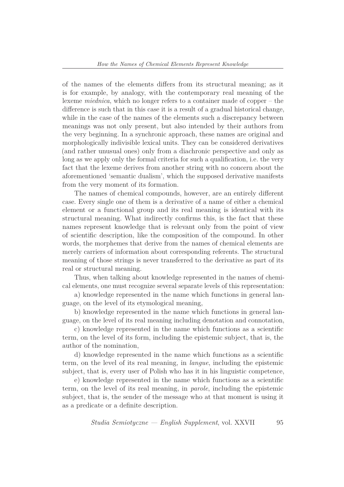of the names of the elements differs from its structural meaning; as it is for example, by analogy, with the contemporary real meaning of the lexeme *miednica*, which no longer refers to a container made of copper – the difference is such that in this case it is a result of a gradual historical change, while in the case of the names of the elements such a discrepancy between meanings was not only present, but also intended by their authors from the very beginning. In a synchronic approach, these names are original and morphologically indivisible lexical units. They can be considered derivatives (and rather unusual ones) only from a diachronic perspective and only as long as we apply only the formal criteria for such a qualification, i.e. the very fact that the lexeme derives from another string with no concern about the aforementioned 'semantic dualism', which the supposed derivative manifests from the very moment of its formation.

The names of chemical compounds, however, are an entirely different case. Every single one of them is a derivative of a name of either a chemical element or a functional group and its real meaning is identical with its structural meaning. What indirectly confirms this, is the fact that these names represent knowledge that is relevant only from the point of view of scientific description, like the composition of the compound. In other words, the morphemes that derive from the names of chemical elements are merely carriers of information about corresponding referents. The structural meaning of those strings is never transferred to the derivative as part of its real or structural meaning.

Thus, when talking about knowledge represented in the names of chemical elements, one must recognize several separate levels of this representation:

a) knowledge represented in the name which functions in general language, on the level of its etymological meaning,

b) knowledge represented in the name which functions in general language, on the level of its real meaning including denotation and connotation,

c) knowledge represented in the name which functions as a scientific term, on the level of its form, including the epistemic subject, that is, the author of the nomination,

d) knowledge represented in the name which functions as a scientific term, on the level of its real meaning, in *langue*, including the epistemic subject, that is, every user of Polish who has it in his linguistic competence,

e) knowledge represented in the name which functions as a scientific term, on the level of its real meaning, in *parole*, including the epistemic subject, that is, the sender of the message who at that moment is using it as a predicate or a definite description.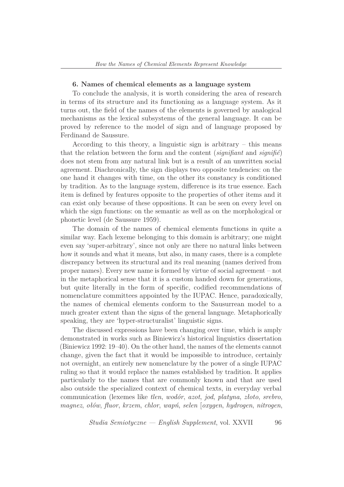#### **6. Names of chemical elements as a language system**

To conclude the analysis, it is worth considering the area of research in terms of its structure and its functioning as a language system. As it turns out, the field of the names of the elements is governed by analogical mechanisms as the lexical subsystems of the general language. It can be proved by reference to the model of sign and of language proposed by Ferdinand de Saussure.

According to this theory, a linguistic sign is arbitrary – this means that the relation between the form and the content  $(signifiant)$  and  $signifi\hat{e})$ does not stem from any natural link but is a result of an unwritten social agreement. Diachronically, the sign displays two opposite tendencies: on the one hand it changes with time, on the other its constancy is conditioned by tradition. As to the language system, difference is its true essence. Each item is defined by features opposite to the properties of other items and it can exist only because of these oppositions. It can be seen on every level on which the sign functions: on the semantic as well as on the morphological or phonetic level (de Saussure 1959).

The domain of the names of chemical elements functions in quite a similar way. Each lexeme belonging to this domain is arbitrary; one might even say 'super-arbitrary', since not only are there no natural links between how it sounds and what it means, but also, in many cases, there is a complete discrepancy between its structural and its real meaning (names derived from proper names). Every new name is formed by virtue of social agreement – not in the metaphorical sense that it is a custom handed down for generations, but quite literally in the form of specific, codified recommendations of nomenclature committees appointed by the IUPAC. Hence, paradoxically, the names of chemical elements conform to the Sausurrean model to a much greater extent than the signs of the general language. Metaphorically speaking, they are 'hyper-structuralist' linguistic signs.

The discussed expressions have been changing over time, which is amply demonstrated in works such as Biniewicz's historical linguistics dissertation (Biniewicz 1992: 19–40). On the other hand, the names of the elements cannot change, given the fact that it would be impossible to introduce, certainly not overnight, an entirely new nomenclature by the power of a single IUPAC ruling so that it would replace the names established by tradition. It applies particularly to the names that are commonly known and that are used also outside the specialized context of chemical texts, in everyday verbal communication (lexemes like *tlen*, *wodór*, *azot*, *jod*, *platyna*, *złoto*, *srebro*, *magnez*, *ołów*, *fluor*, *krzem*, *chlor*, *wapń*, *selen* [*oxygen*, *hydrogen*, *nitrogen*,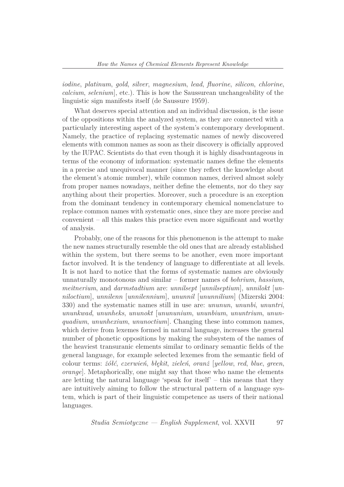*iodine*, *platinum*, *gold*, *silver*, *magnesium*, *lead*, *fluorine*, *silicon*, *chlorine*, *calcium*, *selenium*], etc.). This is how the Saussurean unchangeability of the linguistic sign manifests itself (de Saussure 1959).

What deserves special attention and an individual discussion, is the issue of the oppositions within the analyzed system, as they are connected with a particularly interesting aspect of the system's contemporary development. Namely, the practice of replacing systematic names of newly discovered elements with common names as soon as their discovery is officially approved by the IUPAC. Scientists do that even though it is highly disadvantageous in terms of the economy of information: systematic names define the elements in a precise and unequivocal manner (since they reflect the knowledge about the element's atomic number), while common names, derived almost solely from proper names nowadays, neither define the elements, nor do they say anything about their properties. Moreover, such a procedure is an exception from the dominant tendency in contemporary chemical nomenclature to replace common names with systematic ones, since they are more precise and convenient – all this makes this practice even more significant and worthy of analysis.

Probably, one of the reasons for this phenomenon is the attempt to make the new names structurally resemble the old ones that are already established within the system, but there seems to be another, even more important factor involved. It is the tendency of language to differentiate at all levels. It is not hard to notice that the forms of systematic names are obviously unnaturally monotonous and similar – former names of *bohrium*, *hassium*, *meitnerium*, and *darmstadtium* are: *unnilsept* [*unnilseptium*], *unnilokt* [*unniloctium*], *unnilenn* [*unnilennium*], *ununnil* [*ununnilium*] (Mizerski 2004: 330) and the systematic names still in use are: *ununun*, *ununbi*, *ununtri*, *ununkwad*, *ununheks*, *ununokt* [*unununium*, *ununbium*, *ununtrium*, *ununquadium*, *ununhexium*, *ununoctium*]. Changing these into common names, which derive from lexemes formed in natural language, increases the general number of phonetic oppositions by making the subsystem of the names of the heaviest transuranic elements similar to ordinary semantic fields of the general language, for example selected lexemes from the semantic field of colour terms: *żółć*, *czerwień*, *błękit*, *zieleń*, *oranż* [*yellow*, *red*, *blue*, *green*, *orange*]. Metaphorically, one might say that those who name the elements are letting the natural language 'speak for itself' – this means that they are intuitively aiming to follow the structural pattern of a language system, which is part of their linguistic competence as users of their national languages.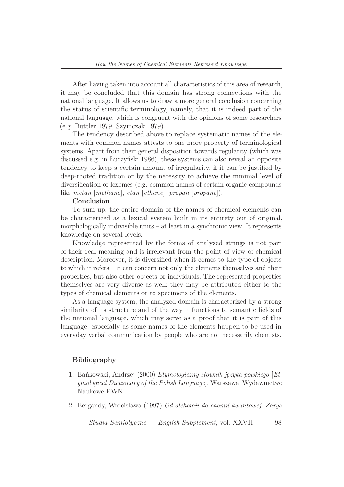After having taken into account all characteristics of this area of research, it may be concluded that this domain has strong connections with the national language. It allows us to draw a more general conclusion concerning the status of scientific terminology, namely, that it is indeed part of the national language, which is congruent with the opinions of some researchers (e.g. Buttler 1979, Szymczak 1979).

The tendency described above to replace systematic names of the elements with common names attests to one more property of terminological systems. Apart from their general disposition towards regularity (which was discussed e.g. in Łuczyński 1986), these systems can also reveal an opposite tendency to keep a certain amount of irregularity, if it can be justified by deep-rooted tradition or by the necessity to achieve the minimal level of diversification of lexemes (e.g. common names of certain organic compounds like *metan* [*methane*], *etan* [*ethane*], *propan* [*propane*]).

## **Conclusion**

To sum up, the entire domain of the names of chemical elements can be characterized as a lexical system built in its entirety out of original, morphologically indivisible units – at least in a synchronic view. It represents knowledge on several levels.

Knowledge represented by the forms of analyzed strings is not part of their real meaning and is irrelevant from the point of view of chemical description. Moreover, it is diversified when it comes to the type of objects to which it refers – it can concern not only the elements themselves and their properties, but also other objects or individuals. The represented properties themselves are very diverse as well: they may be attributed either to the types of chemical elements or to specimens of the elements.

As a language system, the analyzed domain is characterized by a strong similarity of its structure and of the way it functions to semantic fields of the national language, which may serve as a proof that it is part of this language; especially as some names of the elements happen to be used in everyday verbal communication by people who are not necessarily chemists.

#### **Bibliography**

- 1. Bańkowski, Andrzej (2000) *Etymologiczny słownik języka polskiego* [*Etymological Dictionary of the Polish Language*]. Warszawa: Wydawnictwo Naukowe PWN.
- 2. Bergandy, Wrócisława (1997) *Od alchemii do chemii kwantowej. Zarys*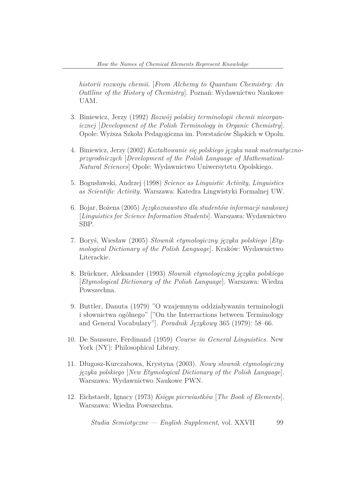*historii rozwoju chemii.* [*From Alchemy to Quantum Chemistry: An Outlline of the History of Chemistry*]. Poznań: Wydawnictwo Naukowe UAM.

- 3. Biniewicz, Jerzy (1992) *Rozwój polskiej terminologii chemii nieorganicznej* [*Development of the Polish Terminology in Organic Chemistry*]. Opole: Wyższa Szkoła Pedagogiczna im. Powstańców Śląskich w Opolu.
- 4. Biniewicz, Jerzy (2002) *Kształtowanie się polskiego języka nauk matematycznoprzyrodniczych* [*Development of the Polish Language of Mathematical-Natural Sciences*] Opole: Wydawnictwo Uniwersytetu Opolskiego.
- 5. Bogusławski, Andrzej (1998) *Science as Linguistic Activity, Linguistics as Scientific Activity.* Warszawa: Katedra Lingwistyki Formalnej UW.
- 6. Bojar, Bożena (2005) *Językoznawstwo dla studentów informacji naukowej* [*Linguistics for Science Information Students*]*.* Warszawa: Wydawnictwo SBP.
- 7. Boryś, Wiesław (2005) *Słownik etymologiczny języka polskiego* [*Etymological Dictionary of the Polish Language*]*.* Kraków: Wydawnictwo Literackie.
- 8. Br¨uckner, Aleksander (1993) *Słownik etymologiczny języka polskiego* [*Etymological Dictionary of the Polish Language*]. Warszawa: Wiedza Powszechna.
- 9. Buttler, Danuta (1979) "O wzajemnym oddziaływaniu terminologii i słownictwa ogólnego" ["On the Interractions between Terminology and General Vocabulary"]*. Poradnik Językowy* 365 (1979): 58–66.
- 10. De Saussure, Ferdinand (1959) *Course in General Linguistics.* New York (NY): Philosophical Library.
- 11. Długosz-Kurczabowa, Krystyna (2003). *Nowy słownik etymologiczny języka polskiego* [*New Etymological Dictionary of the Polish Language*]*.* Warszawa: Wydawnictwo Naukowe PWN.
- 12. Eichstaedt, Ignacy (1973) *Księga pierwiastków* [*The Book of Elements*]*.* Warszawa: Wiedza Powszechna.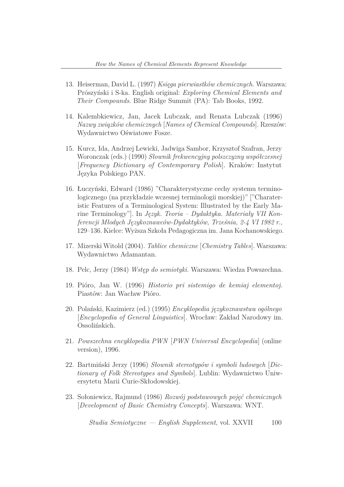- 13. Heiserman, David L. (1997) *Księga pierwiastków chemicznych.* Warszawa: Prószyński i S-ka. English original: *Exploring Chemical Elements and Their Compounds*. Blue Ridge Summit (PA): Tab Books, 1992.
- 14. Kalembkiewicz, Jan, Jacek Lubczak, and Renata Lubczak (1996) *Nazwy związków chemicznych* [*Names of Chemical Compounds*]. Rzeszów: Wydawnictwo Oświatowe Fosze.
- 15. Kurcz, Ida, Andrzej Lewicki, Jadwiga Sambor, Krzysztof Szafran, Jerzy Woronczak (eds.) (1990) *Słownik frekwencyjny polszczyzny współczesnej* [*Frequency Dictionary of Contemporary Polish*]. Kraków: Instytut Języka Polskiego PAN.
- 16. Łuczyński, Edward (1986) "Charakterystyczne cechy systemu terminologicznego (na przykładzie wczesnej terminologii morskiej)" ["Charateristic Features of a Terminological System: Illustrated by the Early Marine Terminology"]. In *Język. Teoria – Dydaktyka. Materiały VII Konferencji Młodych Językoznawców-Dydaktyków, Trześnia, 2-4 VI 1982 r.*, 129–136. Kielce: Wyższa Szkoła Pedagogiczna im. Jana Kochanowskiego.
- 17. Mizerski Witold (2004). *Tablice chemiczne* [*Chemistry Tables*]. Warszawa: Wydawnictwo Adamantan.
- 18. Pelc, Jerzy (1984) *Wstęp do semiotyki.* Warszawa: Wiedza Powszechna.
- 19. Pióro, Jan W. (1996) *Historio pri sistemigo de kemiaj elementoj.* Piastów: Jan Wacław Pióro.
- 20. Polański, Kazimierz (ed.) (1995) *Encyklopedia językoznawstwa ogólnego* [*Encyclopedia of General Linguistics*]. Wrocław: Zakład Narodowy im. Ossolińskich.
- 21. *Powszechna encyklopedia PWN* [*PWN Universal Encyclopedia*] (online version), 1996.
- 22. Bartmiński Jerzy (1996) *Słownik stereotypów i symboli ludowych* [*Dictionary of Folk Stereotypes and Symbols*]. Lublin: Wydawnictwo Uniwersytetu Marii Curie-Skłodowskiej.
- 23. Sołoniewicz, Rajmund (1986) *Rozwój podstawowych pojęć chemicznych* [*Development of Basic Chemistry Concepts*]. Warszawa: WNT.